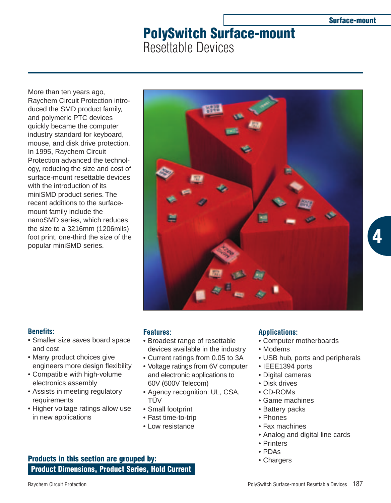**4**

# **PolySwitch Surface-mount** Resettable Devices

More than ten years ago, Raychem Circuit Protection introduced the SMD product family, and polymeric PTC devices quickly became the computer industry standard for keyboard, mouse, and disk drive protection. In 1995, Raychem Circuit Protection advanced the technology, reducing the size and cost of surface-mount resettable devices with the introduction of its miniSMD product series. The recent additions to the surfacemount family include the nanoSMD series, which reduces the size to a 3216mm (1206mils) foot print, one-third the size of the popular miniSMD series.



# **Benefits:**

- Smaller size saves board space and cost
- Many product choices give engineers more design flexibility
- Compatible with high-volume electronics assembly
- Assists in meeting regulatory requirements
- Higher voltage ratings allow use in new applications

# **Features:**

- Broadest range of resettable devices available in the industry
- Current ratings from 0.05 to 3A
- Voltage ratings from 6V computer and electronic applications to 60V (600V Telecom)
- Agency recognition: UL, CSA, TÜV
- Small footprint
- Fast time-to-trip
- Low resistance

# **Applications:**

- Computer motherboards
- Modems
- USB hub, ports and peripherals
- IEEE1394 ports
- Digital cameras
- Disk drives
- CD-ROMs
- Game machines
- Battery packs
- Phones
- Fax machines
- Analog and digital line cards
- Printers
- PDAs
- Chargers

**Product Dimensions, Product Series, Hold Current Products in this section are grouped by:**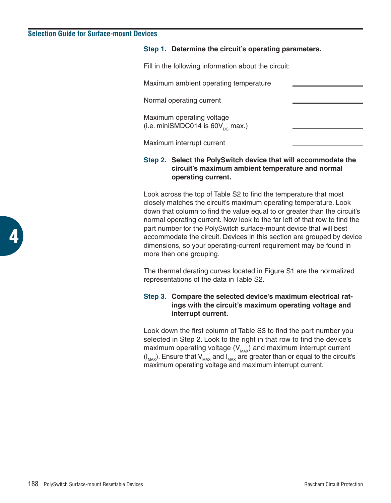# **Selection Guide for Surface-mount Devices**

#### **Step 1. Determine the circuit's operating parameters.**

Fill in the following information about the circuit:

Maximum ambient operating temperature

Normal operating current

Maximum operating voltage (i.e. miniSMDC014 is  $60V_{\infty}$  max.)

Maximum interrupt current

# **Step 2. Select the PolySwitch device that will accommodate the circuit's maximum ambient temperature and normal operating current.**

Look across the top of Table S2 to find the temperature that most closely matches the circuit's maximum operating temperature. Look down that column to find the value equal to or greater than the circuit's normal operating current. Now look to the far left of that row to find the part number for the PolySwitch surface-mount device that will best accommodate the circuit. Devices in this section are grouped by device dimensions, so your operating-current requirement may be found in more then one grouping.

The thermal derating curves located in Figure S1 are the normalized representations of the data in Table S2.

# **Step 3. Compare the selected device's maximum electrical ratings with the circuit's maximum operating voltage and interrupt current.**

Look down the first column of Table S3 to find the part number you selected in Step 2. Look to the right in that row to find the device's maximum operating voltage  $(V_{MAX})$  and maximum interrupt current  $(I_{MAX})$ . Ensure that  $V_{MAX}$  and  $I_{MAX}$  are greater than or equal to the circuit's maximum operating voltage and maximum interrupt current.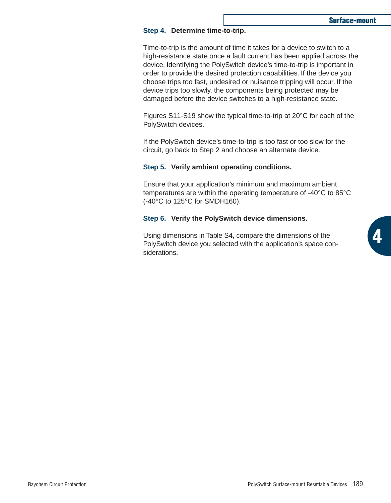**4**

#### **Step 4. Determine time-to-trip.**

Time-to-trip is the amount of time it takes for a device to switch to a high-resistance state once a fault current has been applied across the device. Identifying the PolySwitch device's time-to-trip is important in order to provide the desired protection capabilities. If the device you choose trips too fast, undesired or nuisance tripping will occur. If the device trips too slowly, the components being protected may be damaged before the device switches to a high-resistance state.

Figures S11-S19 show the typical time-to-trip at 20°C for each of the PolySwitch devices.

If the PolySwitch device's time-to-trip is too fast or too slow for the circuit, go back to Step 2 and choose an alternate device.

#### **Step 5. Verify ambient operating conditions.**

Ensure that your application's minimum and maximum ambient temperatures are within the operating temperature of -40°C to 85°C (-40°C to 125°C for SMDH160).

#### **Step 6. Verify the PolySwitch device dimensions.**

Using dimensions in Table S4, compare the dimensions of the PolySwitch device you selected with the application's space considerations.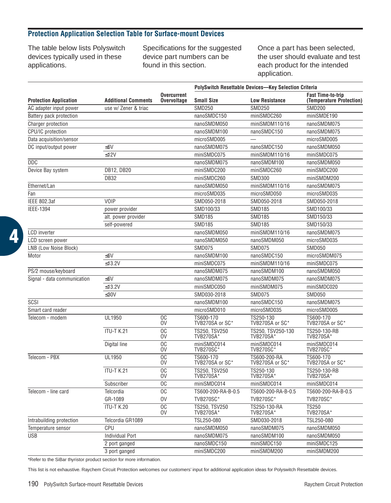# **Protection Application Selection Table for Surface-mount Devices**

The table below lists Polyswitch devices typically used in these applications.

Specifications for the suggested device part numbers can be found in this section.

Once a part has been selected, the user should evaluate and test each product for the intended application.

|                               |                            |                                          | PolySwitch Resettable Devices-Key Selection Criteria |                                       |                                                      |  |  |  |  |
|-------------------------------|----------------------------|------------------------------------------|------------------------------------------------------|---------------------------------------|------------------------------------------------------|--|--|--|--|
| <b>Protection Application</b> | <b>Additional Comments</b> | <b>Overcurrent</b><br><b>Overvoltage</b> | <b>Small Size</b>                                    | <b>Low Resistance</b>                 | <b>Fast Time-to-trip</b><br>(Temperature Protection) |  |  |  |  |
| AC adapter input power        | use w/ Zener & triac       |                                          | <b>SMD250</b>                                        | <b>SMD250</b>                         | <b>SMD200</b>                                        |  |  |  |  |
| Battery pack protection       |                            |                                          | nanoSMDC150                                          | miniSMDC260                           | miniSMDE190                                          |  |  |  |  |
| Charger protection            |                            |                                          | nanoSMDM050                                          | miniSMDM110/16                        | nanoSMDM075                                          |  |  |  |  |
| CPU/IC protection             |                            |                                          | nanoSMDM100                                          | nanoSMDC150                           | nanoSMDM075                                          |  |  |  |  |
| Data acquisition/sensor       |                            |                                          | microSMD005                                          |                                       | microSMD005                                          |  |  |  |  |
| DC input/output power         | $≤6V$                      |                                          | nanoSMDM075                                          | nanoSMDC150                           | nanoSMDM050                                          |  |  |  |  |
|                               | $≤12V$                     |                                          | miniSMDC075                                          | miniSMDM110/16                        | miniSMDC075                                          |  |  |  |  |
| <b>DDC</b>                    |                            |                                          | nanoSMDM075                                          | nanoSMDM100                           | nanoSMDM050                                          |  |  |  |  |
| Device Bay system             | DB12, DB20                 |                                          | miniSMDC200                                          | miniSMDC260                           | miniSMDC200                                          |  |  |  |  |
|                               | <b>DB32</b>                |                                          | miniSMDC260                                          | <b>SMD300</b>                         | miniSMDM200                                          |  |  |  |  |
| Ethernet/Lan                  |                            |                                          | nanoSMDM050                                          | miniSMDM110/16                        | nanoSMDM075                                          |  |  |  |  |
| Fan                           |                            |                                          | microSMD035                                          | microSMD050                           | microSMD035                                          |  |  |  |  |
| <b>IEEE 802.3af</b>           | VOIP                       |                                          | SMD050-2018                                          | SMD050-2018                           | SMD050-2018                                          |  |  |  |  |
| <b>IEEE-1394</b>              | power provider             |                                          | SMD100/33                                            | <b>SMD185</b>                         | SMD100/33                                            |  |  |  |  |
|                               | alt. power provider        |                                          | <b>SMD185</b>                                        | <b>SMD185</b>                         | SMD150/33                                            |  |  |  |  |
|                               | self-powered               |                                          | <b>SMD185</b>                                        | <b>SMD185</b>                         | SMD150/33                                            |  |  |  |  |
| <b>LCD</b> inverter           |                            |                                          | nanoSMDM050                                          | miniSMDM110/16                        | nanoSMDM075                                          |  |  |  |  |
| <b>LCD</b> screen power       |                            |                                          | nanoSMDM050                                          | nanoSMDM050                           | microSMD035                                          |  |  |  |  |
| LNB (Low Noise Block)         |                            |                                          | <b>SMD075</b>                                        | <b>SMD075</b>                         | <b>SMD050</b>                                        |  |  |  |  |
| Motor                         | <6V                        |                                          | nanoSMDM100                                          | nanoSMDC150                           | microSMDM075                                         |  |  |  |  |
|                               | $\leq$ 13.2V               |                                          | miniSMDC075                                          | miniSMDM110/16                        | miniSMDC075                                          |  |  |  |  |
| PS/2 mouse/keyboard           |                            |                                          | nanoSMDM075                                          | nanoSMDM100                           | nanoSMDM050                                          |  |  |  |  |
| Signal - data communication   | $\leq 6V$                  |                                          | nanoSMDM075                                          | nanoSMDM075                           | nanoSMDM075                                          |  |  |  |  |
|                               | $≤13.2V$                   |                                          | miniSMDC050                                          | miniSMDM075                           | miniSMDC020                                          |  |  |  |  |
|                               | $\leq 30V$                 |                                          | SMD030-2018                                          | <b>SMD075</b>                         | <b>SMD050</b>                                        |  |  |  |  |
| SCSI                          |                            |                                          | nanoSMDM100                                          | nanoSMDC150                           | nanoSMDM075                                          |  |  |  |  |
| Smart card reader             |                            |                                          | microSMD010                                          | microSMD035                           | microSMD005                                          |  |  |  |  |
| Telecom - modem               | UL1950                     | <b>OC</b><br>0V                          | TS600-170<br>TVB270SA or SC*                         | TS250-130<br>TVB270SA or SC*          | TS600-170<br>TVB270SA or SC*                         |  |  |  |  |
|                               | <b>ITU-T K.21</b>          | O <sub>C</sub><br>0V                     | TS250. TSV250<br><b>TVB270SA*</b>                    | TS250, TSV250-130<br><b>TVB270SA*</b> | TS250-130-RB<br><b>TVB270SA*</b>                     |  |  |  |  |
|                               | Digital line               | O <sub>C</sub><br>0V                     | miniSMDC014<br>TVB270SC                              | miniSMDC014<br>TVB270SC               | miniSMDC014<br>TVB270SC <sup>*</sup>                 |  |  |  |  |
| Telecom - PBX                 | UL1950                     | <sub>0</sub> C<br>0V                     | TS600-170<br>TVB270SA or SC*                         | TS600-200-RA<br>TVB270SA or SC*       | TS600-170<br>TVB270SA or SC*                         |  |  |  |  |
|                               | <b>ITU-T K.21</b>          | O <sub>C</sub><br>0V                     | TS250. TSV250<br><b>TVB270SA*</b>                    | TS250-130<br><b>TVB270SA*</b>         | TS250-130-RB<br><b>TVB270SA*</b>                     |  |  |  |  |
|                               | Subscriber                 | O <sub>C</sub>                           | miniSMDC014                                          | miniSMDC014                           | miniSMDC014                                          |  |  |  |  |
| Telecom - line card           | Telcordia                  | O <sub>C</sub>                           | TS600-200-RA-B-0.5                                   | TS600-200-RA-B-0.5                    | TS600-200-RA-B-0.5                                   |  |  |  |  |
|                               | GR-1089                    | 0V                                       | <b>TVB270SC*</b>                                     | <b>TVB270SC*</b>                      | <b>TVB270SC*</b>                                     |  |  |  |  |
|                               | <b>ITU-T K.20</b>          | <b>OC</b><br>0V                          | TS250, TSV250<br><b>TVB270SA*</b>                    | TS250-130-RA<br><b>TVB270SA*</b>      | <b>TS250</b><br><b>TVB270SA*</b>                     |  |  |  |  |
| Intrabuilding protection      | Telcordia GR1089           |                                          | TSL250-080                                           | SMD030-2018                           | TSL250-080                                           |  |  |  |  |
| Temperature sensor            | CPU                        |                                          | nanoSMDM050                                          | nanoSMDM075                           | nanoSMDM050                                          |  |  |  |  |
| <b>USB</b>                    | <b>Individual Port</b>     |                                          | nanoSMDM075                                          | nanoSMDM100                           | nanoSMDM050                                          |  |  |  |  |
|                               | 2 port ganged              |                                          | nanoSMDC150                                          | miniSMDC150                           | miniSMDC125                                          |  |  |  |  |
|                               | 3 port ganged              |                                          | miniSMDC200                                          | miniSMDM200                           | miniSMDM200                                          |  |  |  |  |

\*Refer to the SiBar thyristor product section for more information.

This list is not exhaustive. Raychem Circuit Protection welcomes our customers' input for additional application ideas for Polyswitch Resettable devices.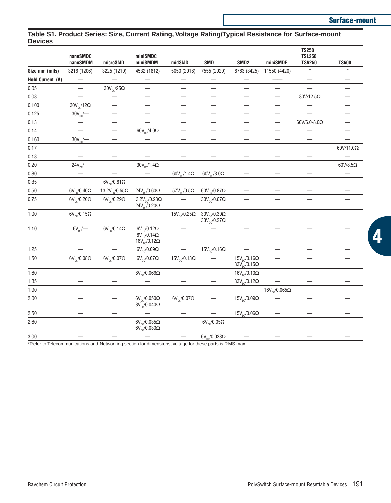# **Table S1. Product Series: Size, Current Rating, Voltage Rating/Typical Resistance for Surface-mount Devices**

|                  | nanoSMDC<br>nanoSMDM        | microSMD                                  | miniSMDC<br>miniSMDM                                                                    | midSMD                       | <b>SMD</b>                                     | SMD <sub>2</sub>                                             | miniSMDE                      | <b>TS250</b><br><b>TSL250</b><br><b>TSV250</b> | <b>TS600</b>             |
|------------------|-----------------------------|-------------------------------------------|-----------------------------------------------------------------------------------------|------------------------------|------------------------------------------------|--------------------------------------------------------------|-------------------------------|------------------------------------------------|--------------------------|
| Size mm (mils)   | 3216 (1206)                 | 3225 (1210)                               | 4532 (1812)                                                                             | 5050 (2018)                  | 7555 (2920)                                    | 8763 (3425)                                                  | 11550 (4420)                  | $\star$                                        | $\star$                  |
| Hold Current (A) |                             |                                           |                                                                                         |                              |                                                |                                                              |                               |                                                |                          |
| 0.05             |                             | $30 \mathrm{V_{\mathrm{DC}}} / 25 \Omega$ |                                                                                         |                              |                                                |                                                              | $\qquad \qquad -$             |                                                |                          |
| 0.08             |                             | —                                         |                                                                                         |                              |                                                | $\overline{\phantom{0}}$                                     | $\overline{\phantom{0}}$      | 80V/12.5Ω                                      | $\overline{\phantom{0}}$ |
| 0.100            | $30V_{\text{nc}}/12\Omega$  | —                                         | -                                                                                       | $\overline{\phantom{0}}$     |                                                |                                                              | $\overline{\phantom{0}}$      | $\overline{\phantom{0}}$                       | $\overline{\phantom{0}}$ |
| 0.125            | $30V_{\text{pc}}$ —         |                                           | $\qquad \qquad -$                                                                       | $\qquad \qquad -$            |                                                | $\overline{\phantom{0}}$                                     | $\qquad \qquad -$             |                                                | —                        |
| 0.13             |                             |                                           |                                                                                         |                              |                                                |                                                              |                               | $60V/6.0$ -8.0 $\Omega$                        |                          |
| 0.14             |                             |                                           | $60V_{\text{pc}}/4.0\Omega$                                                             |                              |                                                |                                                              |                               |                                                |                          |
| 0.160            | $30V_{pc}$ —                | $\overline{\phantom{0}}$                  |                                                                                         | $\qquad \qquad -$            |                                                |                                                              |                               | $\overline{\phantom{0}}$                       |                          |
| 0.17             |                             | —                                         |                                                                                         |                              |                                                |                                                              |                               | $\overline{\phantom{0}}$                       | $60V/11.0\Omega$         |
| 0.18             |                             | $\equiv$                                  | $\overline{\phantom{0}}$                                                                |                              | $\qquad \qquad$                                | $\overline{\phantom{0}}$                                     |                               |                                                |                          |
| 0.20             | $24V_{\text{DC}}$ –         | $\overline{\phantom{0}}$                  | $30V_{\text{pc}}/1.4\Omega$                                                             |                              | $\overline{\phantom{0}}$                       | $\overline{\phantom{0}}$                                     |                               |                                                | $60V/8.5\Omega$          |
| 0.30             |                             | $\overline{\phantom{0}}$                  |                                                                                         | $60V_{\text{nc}}/1.4\Omega$  | $60V_{\text{nc}}/3.0\Omega$                    | —                                                            |                               | —                                              |                          |
| 0.35             | $\overline{\phantom{0}}$    | $6V_{\text{av}}/0.81\Omega$               | $\overline{\phantom{0}}$                                                                | $\qquad \qquad -$            |                                                | $\overline{\phantom{0}}$                                     |                               | $\overline{\phantom{0}}$                       |                          |
| 0.50             | $6V_{nc}/0.40\Omega$        | 13.2 $V_{nc}/0.55\Omega$                  | $24V_{nc}/0.60\Omega$                                                                   | $57V_{\text{nc}}/0.5\Omega$  | $60V_{\text{nc}}/0.87\Omega$                   |                                                              |                               |                                                |                          |
| 0.75             | $6V_{\text{nc}}/0.20\Omega$ | $6V_{nc}/0.29\Omega$                      | 13.2 $V_{\text{DC}}$ /0.23 $\Omega$<br>$24V_{nc}/0.20\Omega$                            |                              | $30V_{\text{nc}}/0.67\Omega$                   |                                                              |                               |                                                |                          |
| 1.00             | $6V_{\text{av}}/0.15\Omega$ |                                           |                                                                                         | $15V_{\text{nc}}/0.25\Omega$ | $30V_{nc}/0.30\Omega$<br>$33V_{nc}/0.27\Omega$ | $\overline{\phantom{0}}$                                     | $\overline{\phantom{0}}$      |                                                | $\overline{\phantom{0}}$ |
| 1.10             | $6V_{nc}$ /                 | $6V_{nc}/0.14\Omega$                      | $6V_{\text{nc}}/0.12\Omega$<br>$8V_{nc}$ /0.14 $\Omega$<br>$16V_{\text{pc}}/0.12\Omega$ |                              |                                                | —                                                            |                               |                                                | —                        |
| 1.25             | $\overline{\phantom{0}}$    | $\equiv$                                  | $6V_{\text{p}}/0.09\Omega$                                                              | $\frac{1}{1}$                | $15V_{\text{pc}}/0.16\Omega$                   | $\equiv$                                                     |                               |                                                |                          |
| 1.50             | $6V_{\text{pc}}/0.08\Omega$ | $6V_{nc}/0.07\Omega$                      | $6V_{\text{pc}}/0.07\Omega$                                                             | $15V_{\text{DC}}/0.13\Omega$ |                                                | $15V_{\text{pc}}/0.16\Omega$<br>$33V_{\text{nc}}/0.15\Omega$ |                               |                                                |                          |
| 1.60             |                             |                                           | $8V_{nc}/0.066\Omega$                                                                   | $\qquad \qquad -$            |                                                | $16V_{\text{nc}}/0.10\Omega$                                 | $\qquad \qquad -$             |                                                | $\overline{\phantom{0}}$ |
| 1.85             |                             |                                           |                                                                                         |                              |                                                | $33V_{\text{nc}}/0.12\Omega$                                 |                               |                                                |                          |
| 1.90             |                             | —                                         |                                                                                         |                              |                                                | $\overline{\phantom{0}}$                                     | $16V_{\text{pc}}/0.065\Omega$ |                                                |                          |
| 2.00             |                             |                                           | $6V_{nc}/0.050\Omega$<br>$8V_{\text{pc}}/0.040\Omega$                                   | $6V_{nc}/0.07\Omega$         |                                                | $15V_{\text{DC}}/0.09\Omega$                                 |                               |                                                |                          |
| 2.50             |                             |                                           |                                                                                         |                              | $\overline{\phantom{0}}$                       | $15V_{\text{pc}}/0.06\Omega$                                 |                               |                                                |                          |
| 2.60             |                             |                                           | $6V_{\text{nc}}/0.035\Omega$<br>$6V_{\text{nc}}/0.030\Omega$                            |                              | $6V_{nc}/0.05\Omega$                           |                                                              |                               |                                                |                          |
| 3.00             |                             | $\overline{\phantom{0}}$                  |                                                                                         |                              | $6V_{\text{DC}}/0.033\Omega$                   | $\overline{\phantom{0}}$                                     |                               |                                                | $\overline{\phantom{0}}$ |

\*Refer to Telecommunications and Networking section for dimensions; voltage for these parts is RMS max.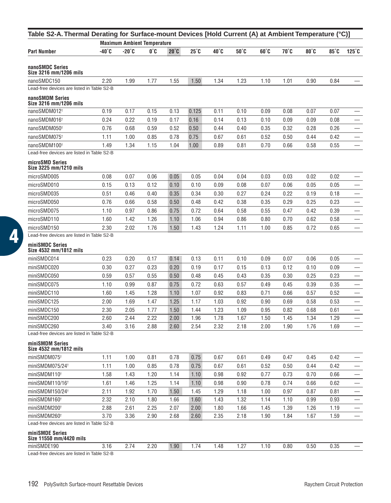| Table S2-A. Thermal Derating for Surface-mount Devices [Hold Current (A) at Ambient Temperature (°C)] |       | <b>Maximum Ambient Temperature</b> |      |                |              |      |      |      |      |      |      |                          |
|-------------------------------------------------------------------------------------------------------|-------|------------------------------------|------|----------------|--------------|------|------|------|------|------|------|--------------------------|
| <b>Part Number</b>                                                                                    | -40°C | $-20^{\circ}$ C                    | 0°C  | $20^{\circ}$ C | $25^\circ$ C | 40°C | 50°C | 60°C | 70°C | 80°C | 85°C | $125^\circ$ C            |
|                                                                                                       |       |                                    |      |                |              |      |      |      |      |      |      |                          |
| nanoSMDC Series<br>Size 3216 mm/1206 mils                                                             |       |                                    |      |                |              |      |      |      |      |      |      |                          |
| nanoSMDC150                                                                                           | 2.20  | 1.99                               | 1.77 | 1.55           | 1.50         | 1.34 | 1.23 | 1.10 | 1.01 | 0.90 | 0.84 |                          |
| Lead-free devices are listed in Table S2-B                                                            |       |                                    |      |                |              |      |      |      |      |      |      |                          |
| nanoSMDM Series<br>Size 3216 mm/1206 mils                                                             |       |                                    |      |                |              |      |      |      |      |      |      |                          |
| nanoSMDM012 <sup>+</sup>                                                                              | 0.19  | 0.17                               | 0.15 | 0.13           | 0.125        | 0.11 | 0.10 | 0.09 | 0.08 | 0.07 | 0.07 |                          |
| nanoSMDM016 <sup>+</sup>                                                                              | 0.24  | 0.22                               | 0.19 | 0.17           | 0.16         | 0.14 | 0.13 | 0.10 | 0.09 | 0.09 | 0.08 |                          |
| nanoSMDM050 <sup>+</sup>                                                                              | 0.76  | 0.68                               | 0.59 | 0.52           | 0.50         | 0.44 | 0.40 | 0.35 | 0.32 | 0.28 | 0.26 |                          |
| nanoSMDM075 <sup>+</sup>                                                                              | 1.11  | 1.00                               | 0.85 | 0.78           | 0.75         | 0.67 | 0.61 | 0.52 | 0.50 | 0.44 | 0.42 |                          |
| nanoSMDM100 <sup>+</sup>                                                                              | 1.49  | 1.34                               | 1.15 | 1.04           | 1.00         | 0.89 | 0.81 | 0.70 | 0.66 | 0.58 | 0.55 | $\overline{\phantom{0}}$ |
| Lead-free devices are listed in Table S2-B                                                            |       |                                    |      |                |              |      |      |      |      |      |      |                          |
| microSMD Series<br>Size 3225 mm/1210 mils                                                             |       |                                    |      |                |              |      |      |      |      |      |      |                          |
| microSMD005                                                                                           | 0.08  | 0.07                               | 0.06 | 0.05           | 0.05         | 0.04 | 0.04 | 0.03 | 0.03 | 0.02 | 0.02 |                          |
| microSMD010                                                                                           | 0.15  | 0.13                               | 0.12 | 0.10           | 0.10         | 0.09 | 0.08 | 0.07 | 0.06 | 0.05 | 0.05 |                          |
| microSMD035                                                                                           | 0.51  | 0.46                               | 0.40 | 0.35           | 0.34         | 0.30 | 0.27 | 0.24 | 0.22 | 0.19 | 0.18 |                          |
| microSMD050                                                                                           | 0.76  | 0.66                               | 0.58 | 0.50           | 0.48         | 0.42 | 0.38 | 0.35 | 0.29 | 0.25 | 0.23 |                          |
| microSMD075                                                                                           | 1.10  | 0.97                               | 0.86 | 0.75           | 0.72         | 0.64 | 0.58 | 0.55 | 0.47 | 0.42 | 0.39 | $\overline{\phantom{0}}$ |
| microSMD110                                                                                           | 1.60  | 1.42                               | 1.26 | 1.10           | 1.06         | 0.94 | 0.86 | 0.80 | 0.70 | 0.62 | 0.58 |                          |
| microSMD150                                                                                           | 2.30  | 2.02                               | 1.76 | 1.50           | 1.43         | 1.24 | 1.11 | 1.00 | 0.85 | 0.72 | 0.65 |                          |
| Lead-free devices are listed in Table S2-B                                                            |       |                                    |      |                |              |      |      |      |      |      |      |                          |
| miniSMDC Series<br>Size 4532 mm/1812 mils                                                             |       |                                    |      |                |              |      |      |      |      |      |      |                          |
| miniSMDC014                                                                                           | 0.23  | 0.20                               | 0.17 | 0.14           | 0.13         | 0.11 | 0.10 | 0.09 | 0.07 | 0.06 | 0.05 |                          |
| miniSMDC020                                                                                           | 0.30  | 0.27                               | 0.23 | 0.20           | 0.19         | 0.17 | 0.15 | 0.13 | 0.12 | 0.10 | 0.09 |                          |
| miniSMDC050                                                                                           | 0.59  | 0.57                               | 0.55 | 0.50           | 0.48         | 0.45 | 0.43 | 0.35 | 0.30 | 0.25 | 0.23 | $\qquad \qquad$          |
| miniSMDC075                                                                                           | 1.10  | 0.99                               | 0.87 | 0.75           | 0.72         | 0.63 | 0.57 | 0.49 | 0.45 | 0.39 | 0.35 | $\overline{\phantom{0}}$ |
| miniSMDC110                                                                                           | 1.60  | 1.45                               | 1.28 | 1.10           | 1.07         | 0.92 | 0.83 | 0.71 | 0.66 | 0.57 | 0.52 |                          |
| miniSMDC125                                                                                           | 2.00  | 1.69                               | 1.47 | 1.25           | 1.17         | 1.03 | 0.92 | 0.90 | 0.69 | 0.58 | 0.53 | —                        |
| miniSMDC150                                                                                           | 2.30  | 2.05                               | 1.77 | 1.50           | 1.44         | 1.23 | 1.09 | 0.95 | 0.82 | 0.68 | 0.61 |                          |
| miniSMDC200                                                                                           | 2.60  | 2.44                               | 2.22 | 2.00           | 1.96         | 1.78 | 1.67 | 1.50 | 1.45 | 1.34 | 1.29 |                          |
| miniSMDC260                                                                                           | 3.40  | 3.16                               | 2.88 | 2.60           | 2.54         | 2.32 | 2.18 | 2.00 | 1.90 | 1.76 | 1.69 |                          |
| Lead-free devices are listed in Table S2-B                                                            |       |                                    |      |                |              |      |      |      |      |      |      |                          |
| miniSMDM Series<br>Size 4532 mm/1812 mils                                                             |       |                                    |      |                |              |      |      |      |      |      |      |                          |
| miniSMDM075 <sup>t</sup>                                                                              | 1.11  | 1.00                               | 0.81 | 0.78           | 0.75         | 0.67 | 0.61 | 0.49 | 0.47 | 0.45 | 0.42 |                          |
| miniSMDM075/24 <sup>t</sup>                                                                           | 1.11  | 1.00                               | 0.85 | 0.78           | 0.75         | 0.67 | 0.61 | 0.52 | 0.50 | 0.44 | 0.42 |                          |
| miniSMDM110 <sup>+</sup>                                                                              | 1.58  | 1.43                               | 1.20 | 1.14           | 1.10         | 0.98 | 0.92 | 0.77 | 0.73 | 0.70 | 0.66 |                          |
| miniSMDM110/16 <sup>+</sup>                                                                           | 1.61  | 1.46                               | 1.25 | 1.14           | 1.10         | 0.98 | 0.90 | 0.78 | 0.74 | 0.66 | 0.62 |                          |
| miniSMDM150/24 <sup>t</sup>                                                                           | 2.11  | 1.92                               | 1.70 | 1.50           | 1.45         | 1.29 | 1.18 | 1.00 | 0.97 | 0.87 | 0.81 |                          |
| miniSMDM160 <sup>t</sup>                                                                              | 2.32  | 2.10                               | 1.80 | 1.66           | 1.60         | 1.43 | 1.32 | 1.14 | 1.10 | 0.99 | 0.93 |                          |
| miniSMDM200 <sup>t</sup>                                                                              | 2.88  | 2.61                               | 2.25 | 2.07           | 2.00         | 1.80 | 1.66 | 1.45 | 1.39 | 1.26 | 1.19 |                          |
| miniSMDM260 <sup>+</sup>                                                                              | 3.70  | 3.36                               | 2.90 | 2.68           | 2.60         | 2.35 | 2.18 | 1.90 | 1.84 | 1.67 | 1.59 |                          |
| Lead-free devices are listed in Table S2-B                                                            |       |                                    |      |                |              |      |      |      |      |      |      |                          |
| miniSMDE Series<br>Size 11550 mm/4420 mils                                                            |       |                                    |      |                |              |      |      |      |      |      |      |                          |
| miniSMDE190                                                                                           | 3.16  | 2.74                               | 2.20 | 1.90           | 1.74         | 1.48 | 1.27 | 1.10 | 0.80 | 0.50 | 0.35 |                          |
| Lead-free devices are listed in Table S2-B                                                            |       |                                    |      |                |              |      |      |      |      |      |      |                          |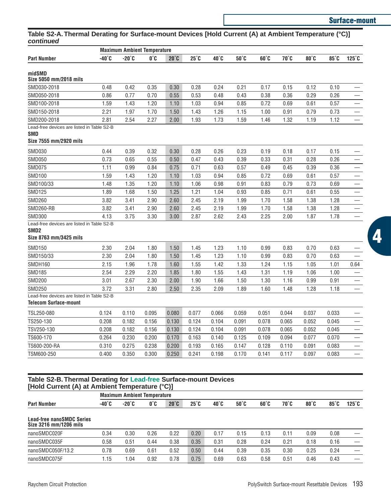# **Surface-mount**

# **Table S2-A. Thermal Derating for Surface-mount Devices [Hold Current (A) at Ambient Temperature (°C)] continued**

|                                            |                 | <b>Maximum Ambient Temperature</b> |       |                |              |       |       |              |       |       |       |                   |  |
|--------------------------------------------|-----------------|------------------------------------|-------|----------------|--------------|-------|-------|--------------|-------|-------|-------|-------------------|--|
| Part Number                                | $-40^{\circ}$ C | $-20^{\circ}$ C                    | 0°C   | $20^{\circ}$ C | $25^\circ$ C | 40°C  | 50°C  | $60^\circ C$ | 70°C  | 80°C  | 85°C  | $125^\circ$ C     |  |
| midSMD                                     |                 |                                    |       |                |              |       |       |              |       |       |       |                   |  |
| Size 5050 mm/2018 mils                     |                 |                                    |       |                |              |       |       |              |       |       |       |                   |  |
| SMD030-2018                                | 0.48            | 0.42                               | 0.35  | 0.30           | 0.28         | 0.24  | 0.21  | 0.17         | 0.15  | 0.12  | 0.10  |                   |  |
| SMD050-2018                                | 0.86            | 0.77                               | 0.70  | 0.55           | 0.53         | 0.48  | 0.43  | 0.38         | 0.36  | 0.29  | 0.26  |                   |  |
| SMD100-2018                                | 1.59            | 1.43                               | 1.20  | 1.10           | 1.03         | 0.94  | 0.85  | 0.72         | 0.69  | 0.61  | 0.57  |                   |  |
| SMD150-2018                                | 2.21            | 1.97                               | 1.70  | 1.50           | 1.43         | 1.26  | 1.15  | 1.00         | 0.91  | 0.79  | 0.73  |                   |  |
| SMD200-2018                                | 2.81            | 2.54                               | 2.27  | 2.00           | 1.93         | 1.73  | 1.59  | 1.46         | 1.32  | 1.19  | 1.12  | $\qquad \qquad -$ |  |
| Lead-free devices are listed in Table S2-B |                 |                                    |       |                |              |       |       |              |       |       |       |                   |  |
| SMD                                        |                 |                                    |       |                |              |       |       |              |       |       |       |                   |  |
| Size 7555 mm/2920 mils                     |                 |                                    |       |                |              |       |       |              |       |       |       |                   |  |
| <b>SMD030</b>                              | 0.44            | 0.39                               | 0.32  | 0.30           | 0.28         | 0.26  | 0.23  | 0.19         | 0.18  | 0.17  | 0.15  |                   |  |
| <b>SMD050</b>                              | 0.73            | 0.65                               | 0.55  | 0.50           | 0.47         | 0.43  | 0.39  | 0.33         | 0.31  | 0.28  | 0.26  |                   |  |
| <b>SMD075</b>                              | 1.11            | 0.99                               | 0.84  | 0.75           | 0.71         | 0.63  | 0.57  | 0.49         | 0.45  | 0.39  | 0.36  |                   |  |
| <b>SMD100</b>                              | 1.59            | 1.43                               | 1.20  | 1.10           | 1.03         | 0.94  | 0.85  | 0.72         | 0.69  | 0.61  | 0.57  |                   |  |
| SMD100/33                                  | 1.48            | 1.35                               | 1.20  | 1.10           | 1.06         | 0.98  | 0.91  | 0.83         | 0.79  | 0.73  | 0.69  |                   |  |
| <b>SMD125</b>                              | 1.89            | 1.68                               | 1.50  | 1.25           | 1.21         | 1.04  | 0.93  | 0.85         | 0.71  | 0.61  | 0.55  |                   |  |
| <b>SMD260</b>                              | 3.82            | 3.41                               | 2.90  | 2.60           | 2.45         | 2.19  | 1.99  | 1.70         | 1.58  | 1.38  | 1.28  |                   |  |
| <b>SMD260-RB</b>                           | 3.82            | 3.41                               | 2.90  | 2.60           | 2.45         | 2.19  | 1.99  | 1.70         | 1.58  | 1.38  | 1.28  |                   |  |
| <b>SMD300</b>                              | 4.13            | 3.75                               | 3.30  | 3.00           | 2.87         | 2.62  | 2.43  | 2.25         | 2.00  | 1.87  | 1.78  |                   |  |
| Lead-free devices are listed in Table S2-B |                 |                                    |       |                |              |       |       |              |       |       |       |                   |  |
| SMD2                                       |                 |                                    |       |                |              |       |       |              |       |       |       |                   |  |
| Size 8763 mm/3425 mils                     |                 |                                    |       |                |              |       |       |              |       |       |       |                   |  |
| SMD150                                     | 2.30            | 2.04                               | 1.80  | 1.50           | 1.45         | 1.23  | 1.10  | 0.99         | 0.83  | 0.70  | 0.63  |                   |  |
| SMD150/33                                  | 2.30            | 2.04                               | 1.80  | 1.50           | 1.45         | 1.23  | 1.10  | 0.99         | 0.83  | 0.70  | 0.63  |                   |  |
| <b>SMDH160</b>                             | 2.15            | 1.96                               | 1.78  | 1.60           | 1.55         | 1.42  | 1.33  | 1.24         | 1.15  | 1.05  | 1.01  | 0.64              |  |
| <b>SMD185</b>                              | 2.54            | 2.29                               | 2.20  | 1.85           | 1.80         | 1.55  | 1.43  | 1.31         | 1.19  | 1.06  | 1.00  |                   |  |
| <b>SMD200</b>                              | 3.01            | 2.67                               | 2.30  | 2.00           | 1.90         | 1.66  | 1.50  | 1.30         | 1.16  | 0.99  | 0.91  |                   |  |
| SMD250                                     | 3.72            | 3.31                               | 2.80  | 2.50           | 2.35         | 2.09  | 1.89  | 1.60         | 1.48  | 1.28  | 1.18  | $\qquad \qquad -$ |  |
| Lead-free devices are listed in Table S2-B |                 |                                    |       |                |              |       |       |              |       |       |       |                   |  |
| Telecom Surface-mount                      |                 |                                    |       |                |              |       |       |              |       |       |       |                   |  |
| TSL250-080                                 | 0.124           | 0.110                              | 0.095 | 0.080          | 0.077        | 0.066 | 0.059 | 0.051        | 0.044 | 0.037 | 0.033 |                   |  |
| TS250-130                                  | 0.208           | 0.182                              | 0.156 | 0.130          | 0.124        | 0.104 | 0.091 | 0.078        | 0.065 | 0.052 | 0.045 |                   |  |
| TSV250-130                                 | 0.208           | 0.182                              | 0.156 | 0.130          | 0.124        | 0.104 | 0.091 | 0.078        | 0.065 | 0.052 | 0.045 | $\qquad \qquad$   |  |
| TS600-170                                  | 0.264           | 0.230                              | 0.200 | 0.170          | 0.163        | 0.140 | 0.125 | 0.109        | 0.094 | 0.077 | 0.070 |                   |  |
| TS600-200-RA                               | 0.310           | 0.275                              | 0.238 | 0.200          | 0.193        | 0.165 | 0.147 | 0.128        | 0.110 | 0.091 | 0.083 |                   |  |
| TSM600-250                                 | 0.400           | 0.350                              | 0.300 | 0.250          | 0.241        | 0.198 | 0.170 | 0.141        | 0.117 | 0.097 | 0.083 | $\qquad \qquad -$ |  |

#### **Table S2-B. Thermal Derating for Lead-free Surface-mount Devices [Hold Current (A) at Ambient Temperature (°C)]**

|                                                     | <b>Maximum Ambient Temperature</b> |                 |      |                |              |              |                |              |      |      |              |               |
|-----------------------------------------------------|------------------------------------|-----------------|------|----------------|--------------|--------------|----------------|--------------|------|------|--------------|---------------|
| <b>Part Number</b>                                  | -40°C                              | $-20^{\circ}$ C | 0°C  | $20^{\circ}$ C | $25^\circ$ C | $40^\circ$ C | $50^{\circ}$ C | $60^\circ C$ | 70°C | 80°C | $85^\circ$ C | $125^\circ$ C |
| Lead-free nanoSMDC Series<br>Size 3216 mm/1206 mils |                                    |                 |      |                |              |              |                |              |      |      |              |               |
| nanoSMDC020F                                        | 0.34                               | 0.30            | 0.26 | 0.22           | 0.20         | 0.17         | 0.15           | 0.13         | 0.11 | 0.09 | 0.08         |               |
| nanoSMDC035F                                        | 0.58                               | 0.51            | 0.44 | 0.38           | 0.35         | 0.31         | 0.28           | 0.24         | 0.21 | 0.18 | 0.16         |               |
| nanoSMDC050F/13.2                                   | 0.78                               | 0.69            | 0.61 | 0.52           | 0.50         | 0.44         | 0.39           | 0.35         | 0.30 | 0.25 | 0.24         |               |
| nanoSMDC075F                                        | 1.15                               | .04             | 0.92 | 0.78           | 0.75         | 0.69         | 0.63           | 0.58         | 0.51 | 0.46 | 0.43         |               |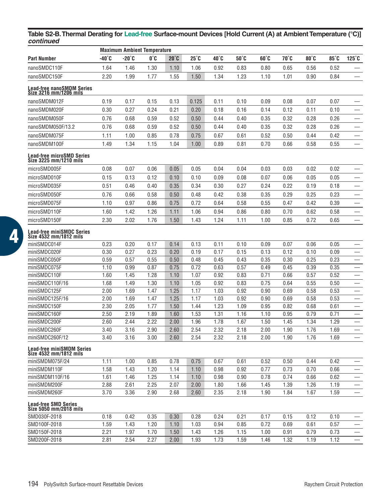## **Table S2-B.Thermal Derating for Lead-free Surface-mount Devices [Hold Current (A) at Ambient Temperature (°C)]** *continued*

|                                                       |       | <b>Maximum Ambient Temperature</b> |      |              |       |      |      |      |      |      |      |                          |
|-------------------------------------------------------|-------|------------------------------------|------|--------------|-------|------|------|------|------|------|------|--------------------------|
| Part Number                                           | -40°C | -20°C                              | O°C  | $20^\circ$ C | 25°C  | 40°C | 50°C | 60°C | 70°C | 80°C | 85°C | $125^\circ$ C            |
| nanoSMDC110F                                          | 1.64  | 1.46                               | 1.30 | 1.10         | 1.06  | 0.92 | 0.83 | 0.80 | 0.65 | 0.56 | 0.52 |                          |
| nanoSMDC150F                                          | 2.20  | 1.99                               | 1.77 | 1.55         | 1.50  | 1.34 | 1.23 | 1.10 | 1.01 | 0.90 | 0.84 |                          |
| Lead-free nanoSMDM Series<br>Size 3216 mm/1206 mils   |       |                                    |      |              |       |      |      |      |      |      |      |                          |
| nanoSMDM012F                                          | 0.19  | 0.17                               | 0.15 | 0.13         | 0.125 | 0.11 | 0.10 | 0.09 | 0.08 | 0.07 | 0.07 |                          |
| nanoSMDM020F                                          | 0.30  | 0.27                               | 0.24 | 0.21         | 0.20  | 0.18 | 0.16 | 0.14 | 0.12 | 0.11 | 0.10 |                          |
| nanoSMDM050F                                          | 0.76  | 0.68                               | 0.59 | 0.52         | 0.50  | 0.44 | 0.40 | 0.35 | 0.32 | 0.28 | 0.26 |                          |
| nanoSMDM050F/13.2                                     | 0.76  | 0.68                               | 0.59 | 0.52         | 0.50  | 0.44 | 0.40 | 0.35 | 0.32 | 0.28 | 0.26 |                          |
| nanoSMDM075F                                          | 1.11  | 1.00                               | 0.85 | 0.78         | 0.75  | 0.67 | 0.61 | 0.52 | 0.50 | 0.44 | 0.42 |                          |
| nanoSMDM100F                                          | 1.49  | 1.34                               | 1.15 | 1.04         | 1.00  | 0.89 | 0.81 | 0.70 | 0.66 | 0.58 | 0.55 |                          |
|                                                       |       |                                    |      |              |       |      |      |      |      |      |      |                          |
| Lead-free microSMD Series<br>Size 3225 mm/1210 mils   |       |                                    |      |              |       |      |      |      |      |      |      |                          |
| microSMD005F                                          | 0.08  | 0.07                               | 0.06 | 0.05         | 0.05  | 0.04 | 0.04 | 0.03 | 0.03 | 0.02 | 0.02 |                          |
| microSMD010F                                          | 0.15  | 0.13                               | 0.12 | 0.10         | 0.10  | 0.09 | 0.08 | 0.07 | 0.06 | 0.05 | 0.05 |                          |
| microSMD035F                                          | 0.51  | 0.46                               | 0.40 | 0.35         | 0.34  | 0.30 | 0.27 | 0.24 | 0.22 | 0.19 | 0.18 |                          |
| microSMD050F                                          | 0.76  | 0.66                               | 0.58 | 0.50         | 0.48  | 0.42 | 0.38 | 0.35 | 0.29 | 0.25 | 0.23 |                          |
| microSMD075F                                          | 1.10  | 0.97                               | 0.86 | 0.75         | 0.72  | 0.64 | 0.58 | 0.55 | 0.47 | 0.42 | 0.39 |                          |
| microSMD110F                                          | 1.60  | 1.42                               | 1.26 | 1.11         | 1.06  | 0.94 | 0.86 | 0.80 | 0.70 | 0.62 | 0.58 |                          |
| microSMD150F                                          | 2.30  | 2.02                               | 1.76 | 1.50         | 1.43  | 1.24 | 1.11 | 1.00 | 0.85 | 0.72 | 0.65 |                          |
| Lead-free miniSMDC Series<br>Size 4532 mm/1812 mils   |       |                                    |      |              |       |      |      |      |      |      |      |                          |
| miniSMDC014F                                          | 0.23  | 0.20                               | 0.17 | 0.14         | 0.13  | 0.11 | 0.10 | 0.09 | 0.07 | 0.06 | 0.05 |                          |
| miniSMDC020F                                          | 0.30  | 0.27                               | 0.23 | 0.20         | 0.19  | 0.17 | 0.15 | 0.13 | 0.12 | 0.10 | 0.09 |                          |
| miniSMDC050F                                          | 0.59  | 0.57                               | 0.55 | 0.50         | 0.48  | 0.45 | 0.43 | 0.35 | 0.30 | 0.25 | 0.23 |                          |
| miniSMDC075F                                          | 1.10  | 0.99                               | 0.87 | 0.75         | 0.72  | 0.63 | 0.57 | 0.49 | 0.45 | 0.39 | 0.35 |                          |
| miniSMDC110F                                          | 1.60  | 1.45                               | 1.28 | 1.10         | 1.07  | 0.92 | 0.83 | 0.71 | 0.66 | 0.57 | 0.52 |                          |
| miniSMDC110F/16                                       | 1.68  | 1.49                               | 1.30 | 1.10         | 1.05  | 0.92 | 0.83 | 0.75 | 0.64 | 0.55 | 0.50 |                          |
| miniSMDC125F                                          | 2.00  | 1.69                               | 1.47 | 1.25         | 1.17  | 1.03 | 0.92 | 0.90 | 0.69 | 0.58 | 0.53 |                          |
| miniSMDC125F/16                                       | 2.00  | 1.69                               | 1.47 | 1.25         | 1.17  | 1.03 | 0.92 | 0.90 | 0.69 | 0.58 | 0.53 |                          |
| miniSMDC150F                                          | 2.30  | 2.05                               | 1.77 | 1.50         | 1.44  | 1.23 | 1.09 | 0.95 | 0.82 | 0.68 | 0.61 |                          |
| miniSMDC160F                                          | 2.50  | 2.19                               | 1.89 | 1.60         | 1.53  | 1.31 | 1.16 | 1.10 | 0.95 | 0.79 | 0.71 |                          |
| miniSMDC200F                                          | 2.60  | 2.44                               | 2.22 | 2.00         | 1.96  | 1.78 | 1.67 | 1.50 | 1.45 | 1.34 | 1.29 |                          |
| miniSMDC260F                                          | 3.40  | 3.16                               | 2.90 | 2.60         | 2.54  | 2.32 | 2.18 | 2.00 | 1.90 | 1.76 | 1.69 |                          |
| miniSMDC260F/12                                       | 3.40  | 3.16                               | 3.00 | 2.60         | 2.54  | 2.32 | 2.18 | 2.00 | 1.90 | 1.76 | 1.69 | $\overline{\phantom{0}}$ |
| Lead-free miniSMDM Series<br>Size 4532 mm/1812 mils   |       |                                    |      |              |       |      |      |      |      |      |      |                          |
| miniSMDM075F/24                                       | 1.11  | 1.00                               | 0.85 | 0.78         | 0.75  | 0.67 | 0.61 | 0.52 | 0.50 | 0.44 | 0.42 |                          |
| miniSMDM110F                                          | 1.58  | 1.43                               | 1.20 | 1.14         | 1.10  | 0.98 | 0.92 | 0.77 | 0.73 | 0.70 | 0.66 |                          |
| miniSMDM110F/16                                       | 1.61  | 1.46                               | 1.25 | 1.14         | 1.10  | 0.98 | 0.90 | 0.78 | 0.74 | 0.66 | 0.62 |                          |
| miniSMDM200F                                          | 2.88  | 2.61                               | 2.25 | 2.07         | 2.00  | 1.80 | 1.66 | 1.45 | 1.39 | 1.26 | 1.19 |                          |
| miniSMDM260F                                          | 3.70  | 3.36                               | 2.90 | 2.68         | 2.60  | 2.35 | 2.18 | 1.90 | 1.84 | 1.67 | 1.59 |                          |
| <b>Lead-free SMD Series</b><br>Size 5050 mm/2018 mils |       |                                    |      |              |       |      |      |      |      |      |      |                          |
| SMD030F-2018                                          | 0.18  | 0.42                               | 0.35 | 0.30         | 0.28  | 0.24 | 0.21 | 0.17 | 0.15 | 0.12 | 0.10 |                          |
| SMD100F-2018                                          | 1.59  | 1.43                               | 1.20 | 1.10         | 1.03  | 0.94 | 0.85 | 0.72 | 0.69 | 0.61 | 0.57 |                          |
| SMD150F-2018                                          | 2.21  | 1.97                               | 1.70 | 1.50         | 1.43  | 1.26 | 1.15 | 1.00 | 0.91 | 0.79 | 0.73 |                          |
| SMD200F-2018                                          | 2.81  | 2.54                               | 2.27 | 2.00         | 1.93  | 1.73 | 1.59 | 1.46 | 1.32 | 1.19 | 1.12 |                          |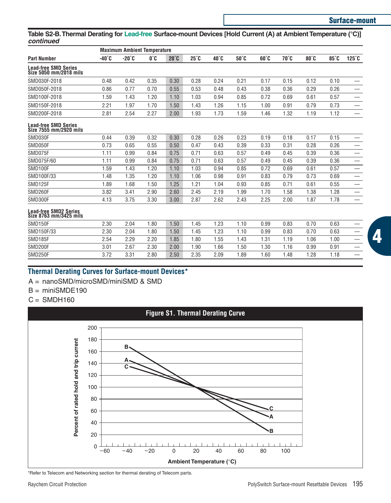# **Surface-mount**

# **Table S2-B.Thermal Derating for Lead-free Surface-mount Devices [Hold Current (A) at Ambient Temperature (°C)]** *continued*

|                                                       | <b>Maximum Ambient Temperature</b> |       |      |                |              |                         |                |              |      |      |      |                               |  |
|-------------------------------------------------------|------------------------------------|-------|------|----------------|--------------|-------------------------|----------------|--------------|------|------|------|-------------------------------|--|
| <b>Part Number</b>                                    | $-40^{\circ}$ C                    | -20°C | 0°C  | $20^{\circ}$ C | $25^\circ$ C | $40^\circ$ <sub>C</sub> | $50^{\circ}$ C | $60^\circ C$ | 70°C | 80°C | 85°C | $125^\circ$ C                 |  |
| <b>Lead-free SMD Series</b><br>Size 5050 mm/2018 mils |                                    |       |      |                |              |                         |                |              |      |      |      |                               |  |
| SMD030F-2018                                          | 0.48                               | 0.42  | 0.35 | 0.30           | 0.28         | 0.24                    | 0.21           | 0.17         | 0.15 | 0.12 | 0.10 | $\overline{\phantom{0}}$      |  |
| SMD050F-2018                                          | 0.86                               | 0.77  | 0.70 | 0.55           | 0.53         | 0.48                    | 0.43           | 0.38         | 0.36 | 0.29 | 0.26 |                               |  |
| SMD100F-2018                                          | 1.59                               | 1.43  | 1.20 | 1.10           | 1.03         | 0.94                    | 0.85           | 0.72         | 0.69 | 0.61 | 0.57 |                               |  |
| SMD150F-2018                                          | 2.21                               | 1.97  | 1.70 | 1.50           | 1.43         | 1.26                    | 1.15           | 1.00         | 0.91 | 0.79 | 0.73 | $\overline{\phantom{0}}$      |  |
| SMD200F-2018                                          | 2.81                               | 2.54  | 2.27 | 2.00           | 1.93         | 1.73                    | 1.59           | 1.46         | 1.32 | 1.19 | 1.12 |                               |  |
| Lead-free SMD Series<br>Size 7555 mm/2920 mils        |                                    |       |      |                |              |                         |                |              |      |      |      |                               |  |
| SMD030F                                               | 0.44                               | 0.39  | 0.32 | 0.30           | 0.28         | 0.26                    | 0.23           | 0.19         | 0.18 | 0.17 | 0.15 |                               |  |
| SMD050F                                               | 0.73                               | 0.65  | 0.55 | 0.50           | 0.47         | 0.43                    | 0.39           | 0.33         | 0.31 | 0.28 | 0.26 |                               |  |
| SMD075F                                               | 1.11                               | 0.99  | 0.84 | 0.75           | 0.71         | 0.63                    | 0.57           | 0.49         | 0.45 | 0.39 | 0.36 | $\overbrace{\phantom{12332}}$ |  |
| SMD075F/60                                            | 1.11                               | 0.99  | 0.84 | 0.75           | 0.71         | 0.63                    | 0.57           | 0.49         | 0.45 | 0.39 | 0.36 | $\overbrace{\phantom{12332}}$ |  |
| SMD100F                                               | 1.59                               | 1.43  | 1.20 | 1.10           | 1.03         | 0.94                    | 0.85           | 0.72         | 0.69 | 0.61 | 0.57 | $\overline{\phantom{0}}$      |  |
| SMD100F/33                                            | 1.48                               | 1.35  | 1.20 | 1.10           | 1.06         | 0.98                    | 0.91           | 0.83         | 0.79 | 0.73 | 0.69 | $\overline{\phantom{0}}$      |  |
| SMD125F                                               | 1.89                               | 1.68  | 1.50 | 1.25           | 1.21         | 1.04                    | 0.93           | 0.85         | 0.71 | 0.61 | 0.55 | $\overline{\phantom{0}}$      |  |
| SMD260F                                               | 3.82                               | 3.41  | 2.90 | 2.60           | 2.45         | 2.19                    | 1.99           | 1.70         | 1.58 | 1.38 | 1.28 | $\overline{\phantom{0}}$      |  |
| SMD300F                                               | 4.13                               | 3.75  | 3.30 | 3.00           | 2.87         | 2.62                    | 2.43           | 2.25         | 2.00 | 1.87 | 1.78 | $\overline{\phantom{0}}$      |  |
| Lead-free SMD2 Series<br>Size 8763 mm/3425 mils       |                                    |       |      |                |              |                         |                |              |      |      |      |                               |  |
| SMD150F                                               | 2.30                               | 2.04  | 1.80 | 1.50           | 1.45         | 1.23                    | 1.10           | 0.99         | 0.83 | 0.70 | 0.63 |                               |  |
| SMD150F/33                                            | 2.30                               | 2.04  | 1.80 | 1.50           | 1.45         | 1.23                    | 1.10           | 0.99         | 0.83 | 0.70 | 0.63 | $\overline{\phantom{0}}$      |  |
| SMD185F                                               | 2.54                               | 2.29  | 2.20 | 1.85           | 1.80         | 1.55                    | 1.43           | 1.31         | 1.19 | 1.06 | 1.00 | $\overline{\phantom{0}}$      |  |
| SMD200F                                               | 3.01                               | 2.67  | 2.30 | 2.00           | 1.90         | 1.66                    | 1.50           | 1.30         | 1.16 | 0.99 | 0.91 | $\overline{\phantom{0}}$      |  |
| SMD250F                                               | 3.72                               | 3.31  | 2.80 | 2.50           | 2.35         | 2.09                    | 1.89           | 1.60         | 1.48 | 1.28 | 1.18 | $\overline{\phantom{0}}$      |  |

# **Thermal Derating Curves for Surface-mount Devices\***

- A = nanoSMD/microSMD/miniSMD & SMD
- $B = min$ ISMDE190
- $C =$ SMDH160



\*Refer to Telecom and Networking section for thermal derating of Telecom parts.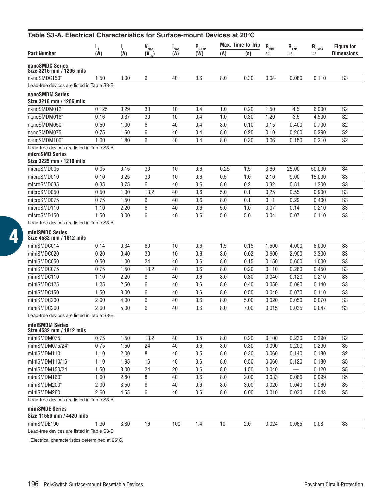| Table S3-A. Electrical Characteristics for Surface-mount Devices at 20°C |       |      |                           |           |                                    |      |                          |                                |                          |              |                   |
|--------------------------------------------------------------------------|-------|------|---------------------------|-----------|------------------------------------|------|--------------------------|--------------------------------|--------------------------|--------------|-------------------|
|                                                                          | ι,    | ı,   | $\mathbf{V}_{\text{max}}$ | $I_{MAX}$ | ${\mathsf P}_{_{\mathsf D\, TYP}}$ |      | <b>Max. Time-to-Trip</b> | $\mathsf{R}_{_{\mathsf{MIN}}}$ | $R_{_{\rm IYP}}$         | $R_{1\,MAX}$ | <b>Figure for</b> |
| Part Number                                                              | (A)   | (A)  | $(V_{\text{dc}})$         | (A)       | (W)                                | (A)  | (s)                      | Ω                              | Ω                        | Ω            | <b>Dimensions</b> |
| nanoSMDC Series<br>Size 3216 mm / 1206 mils                              |       |      |                           |           |                                    |      |                          |                                |                          |              |                   |
| nanoSMDC150 <sup>+</sup>                                                 | 1.50  | 3.00 | 6                         | 40        | 0.6                                | 8.0  | 0.30                     | 0.04                           | 0.080                    | 0.110        | S3                |
| Lead-free devices are listed in Table S3-B                               |       |      |                           |           |                                    |      |                          |                                |                          |              |                   |
| nanoSMDM Series<br>Size 3216 mm / 1206 mils                              |       |      |                           |           |                                    |      |                          |                                |                          |              |                   |
| nanoSMDM012 <sup>+</sup>                                                 | 0.125 | 0.29 | 30                        | 10        | 0.4                                | 1.0  | 0.20                     | 1.50                           | 4.5                      | 6.000        | S2                |
| nanoSMDM016†                                                             | 0.16  | 0.37 | 30                        | 10        | 0.4                                | 1.0  | 0.30                     | 1.20                           | 3.5                      | 4.500        | S <sub>2</sub>    |
| nanoSMDM050 <sup>+</sup>                                                 | 0.50  | 1.00 | 6                         | 40        | 0.4                                | 8.0  | 0.10                     | 0.15                           | 0.400                    | 0.700        | S <sub>2</sub>    |
| nanoSMDM075 <sup>+</sup>                                                 | 0.75  | 1.50 | 6                         | 40        | 0.4                                | 8.0  | 0.20                     | 0.10                           | 0.200                    | 0.290        | S <sub>2</sub>    |
| nanoSMDM100 <sup>+</sup>                                                 | 1.00  | 1.80 | 6                         | 40        | 0.4                                | 8.0  | 0.30                     | 0.06                           | 0.150                    | 0.210        | S <sub>2</sub>    |
| Lead-free devices are listed in Table S3-B                               |       |      |                           |           |                                    |      |                          |                                |                          |              |                   |
| microSMD Series<br>Size 3225 mm / 1210 mils                              |       |      |                           |           |                                    |      |                          |                                |                          |              |                   |
| microSMD005                                                              | 0.05  | 0.15 | 30                        | 10        | 0.6                                | 0.25 | 1.5                      | 3.60                           | 25.00                    | 50.000       | S <sub>4</sub>    |
| microSMD010                                                              | 0.10  | 0.25 | 30                        | 10        | 0.6                                | 0.5  | 1.0                      | 2.10                           | 9.00                     | 15.000       | S <sub>3</sub>    |
| microSMD035                                                              | 0.35  | 0.75 | 6                         | 40        | 0.6                                | 8.0  | 0.2                      | 0.32                           | 0.81                     | 1.300        | S <sub>3</sub>    |
| microSMD050                                                              | 0.50  | 1.00 | 13.2                      | 40        | 0.6                                | 5.0  | 0.1                      | 0.25                           | 0.55                     | 0.900        | S <sub>3</sub>    |
| microSMD075                                                              | 0.75  | 1.50 | 6                         | 40        | 0.6                                | 8.0  | 0.1                      | 0.11                           | 0.29                     | 0.400        | S <sub>3</sub>    |
| microSMD110                                                              | 1.10  | 2.20 | 6                         | 40        | 0.6                                | 5.0  | 1.0                      | 0.07                           | 0.14                     | 0.210        | S <sub>3</sub>    |
| microSMD150                                                              | 1.50  | 3.00 | 6                         | 40        | 0.6                                | 5.0  | 5.0                      | 0.04                           | 0.07                     | 0.110        | S3                |
| Lead-free devices are listed in Table S3-B<br>miniSMDC Series            |       |      |                           |           |                                    |      |                          |                                |                          |              |                   |
| Size 4532 mm / 1812 mils                                                 |       |      |                           |           |                                    |      |                          |                                |                          |              |                   |
| miniSMDC014                                                              | 0.14  | 0.34 | 60                        | 10        | 0.6                                | 1.5  | 0.15                     | 1.500                          | 4.000                    | 6.000        | S <sub>3</sub>    |
| miniSMDC020                                                              | 0.20  | 0.40 | 30                        | 10        | 0.6                                | 8.0  | 0.02                     | 0.600                          | 2.900                    | 3.300        | S3                |
| miniSMDC050                                                              | 0.50  | 1.00 | 24                        | 40        | 0.6                                | 8.0  | 0.15                     | 0.150                          | 0.600                    | 1.000        | S <sub>3</sub>    |
| miniSMDC075                                                              | 0.75  | 1.50 | 13.2                      | 40        | 0.6                                | 8.0  | 0.20                     | 0.110                          | 0.260                    | 0.450        | S <sub>3</sub>    |
| miniSMDC110                                                              | 1.10  | 2.20 | 8                         | 40        | 0.6                                | 8.0  | 0.30                     | 0.040                          | 0.120                    | 0.210        | S3                |
| miniSMDC125                                                              | 1.25  | 2.50 | 6                         | 40        | 0.6                                | 8.0  | 0.40                     | 0.050                          | 0.090                    | 0.140        | S <sub>3</sub>    |
| miniSMDC150                                                              | 1.50  | 3.00 | 6                         | 40        | 0.6                                | 8.0  | 0.50                     | 0.040                          | 0.070                    | 0.110        | S3                |
| miniSMDC200                                                              | 2.00  | 4.00 | 6                         | 40        | 0.6                                | 8.0  | 5.00                     | 0.020                          | 0.050                    | 0.070        | S <sub>3</sub>    |
| miniSMDC260                                                              | 2.60  | 5.00 | 6                         | 40        | 0.6                                | 8.0  | 7.00                     | 0.015                          | 0.035                    | 0.047        | S <sub>3</sub>    |
| Lead-free devices are listed in Table S3-B<br>miniSMDM Series            |       |      |                           |           |                                    |      |                          |                                |                          |              |                   |
| Size 4532 mm / 1812 mils                                                 |       |      |                           |           |                                    |      |                          |                                |                          |              |                   |
| miniSMDM075 <sup>+</sup>                                                 | 0.75  | 1.50 | 13.2                      | 40        | 0.5                                | 8.0  | 0.20                     | 0.100                          | 0.230                    | 0.290        | S <sub>2</sub>    |
| miniSMDM075/24 <sup>t</sup>                                              | 0.75  | 1.50 | 24                        | 40        | 0.6                                | 8.0  | 0.30                     | 0.090                          | 0.200                    | 0.290        | S <sub>5</sub>    |
| miniSMDM110 <sup>+</sup>                                                 | 1.10  | 2.00 | 8                         | 40        | 0.5                                | 8.0  | 0.30                     | 0.060                          | 0.140                    | 0.180        | S <sub>2</sub>    |
| miniSMDM110/16 <sup>+</sup>                                              | 1.10  | 1.95 | 16                        | 40        | 0.6                                | 8.0  | 0.50                     | 0.060                          | 0.120                    | 0.180        | S <sub>5</sub>    |
| miniSMDM150/24                                                           | 1.50  | 3.00 | 24                        | 20        | 0.6                                | 8.0  | 1.50                     | 0.040                          | $\overline{\phantom{0}}$ | 0.120        | S <sub>5</sub>    |
| miniSMDM160 <sup>+</sup>                                                 | 1.60  | 2.80 | 8                         | 40        | 0.6                                | 8.0  | 2.00                     | 0.033                          | 0.066                    | 0.099        | S <sub>5</sub>    |
| miniSMDM200 <sup>+</sup>                                                 | 2.00  | 3.50 | 8                         | 40        | 0.6                                | 8.0  | 3.00                     | 0.020                          | 0.040                    | 0.060        | S <sub>5</sub>    |
| miniSMDM260 <sup>t</sup>                                                 | 2.60  | 4.55 | 6                         | 40        | 0.6                                | 8.0  | 6.00                     | 0.010                          | 0.030                    | 0.043        | S <sub>5</sub>    |
| Lead-free devices are listed in Table S3-B                               |       |      |                           |           |                                    |      |                          |                                |                          |              |                   |
| miniSMDE Series<br>Size 11550 mm / 4420 mils                             |       |      |                           |           |                                    |      |                          |                                |                          |              |                   |
| miniSMDE190                                                              | 1.90  | 3.80 | 16                        | 100       | 1.4                                | 10   | 2.0                      | 0.024                          | 0.065                    | 0.08         | S3                |
| Lead-free devices are listed in Table S3-B                               |       |      |                           |           |                                    |      |                          |                                |                          |              |                   |

†Electrical characteristics determined at 25°C.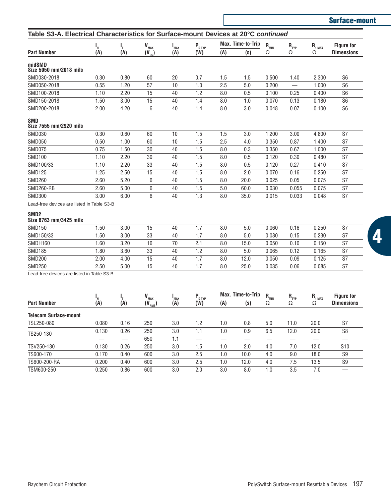|                                                                                    |      |      |                           |            |                       |     |                   |                              |           |              | Surface-mount     |
|------------------------------------------------------------------------------------|------|------|---------------------------|------------|-----------------------|-----|-------------------|------------------------------|-----------|--------------|-------------------|
| Table S3-A. Electrical Characteristics for Surface-mount Devices at 20°C continued |      |      |                           |            |                       |     |                   |                              |           |              |                   |
|                                                                                    | Ч.   | г,   | $\mathbf{V}_{\text{max}}$ | <b>MAX</b> | $P_{D \, \text{IYP}}$ |     | Max. Time-to-Trip | $\mathbf{R}_{_{\text{MIN}}}$ | $R_{TYP}$ | $R_{1\,MAX}$ | <b>Figure for</b> |
| <b>Part Number</b>                                                                 | (A)  | (A)  | $(V_{\text{dc}})$         | (A)        | (W)                   | (A) | (s)               | Ω                            | Ω         | Ω            | <b>Dimensions</b> |
| midSMD<br>Size 5050 mm/2018 mils                                                   |      |      |                           |            |                       |     |                   |                              |           |              |                   |
| SMD030-2018                                                                        | 0.30 | 0.80 | 60                        | 20         | 0.7                   | 1.5 | 1.5               | 0.500                        | 1.40      | 2.300        | S <sub>6</sub>    |
| SMD050-2018                                                                        | 0.55 | 1.20 | 57                        | 10         | 1.0                   | 2.5 | 5.0               | 0.200                        |           | 1.000        | S <sub>6</sub>    |
| SMD100-2018                                                                        | 1.10 | 2.20 | 15                        | 40         | 1.2                   | 8.0 | 0.5               | 0.100                        | 0.25      | 0.400        | S <sub>6</sub>    |
| SMD150-2018                                                                        | 1.50 | 3.00 | 15                        | 40         | 1.4                   | 8.0 | 1.0               | 0.070                        | 0.13      | 0.180        | S <sub>6</sub>    |
| SMD200-2018                                                                        | 2.00 | 4.20 | 6                         | 40         | 1.4                   | 8.0 | 3.0               | 0.048                        | 0.07      | 0.100        | S <sub>6</sub>    |
| <b>SMD</b><br>Size 7555 mm/2920 mils                                               |      |      |                           |            |                       |     |                   |                              |           |              |                   |
| <b>SMD030</b>                                                                      | 0.30 | 0.60 | 60                        | 10         | 1.5                   | 1.5 | 3.0               | 1.200                        | 3.00      | 4.800        | S7                |
| <b>SMD050</b>                                                                      | 0.50 | 1.00 | 60                        | 10         | 1.5                   | 2.5 | 4.0               | 0.350                        | 0.87      | 1.400        | S7                |
| <b>SMD075</b>                                                                      | 0.75 | 1.50 | 30                        | 40         | 1.5                   | 8.0 | 0.3               | 0.350                        | 0.67      | 1.000        | S7                |
| SMD100                                                                             | 1.10 | 2.20 | 30                        | 40         | 1.5                   | 8.0 | 0.5               | 0.120                        | 0.30      | 0.480        | S7                |
| SMD100/33                                                                          | 1.10 | 2.20 | 33                        | 40         | 1.5                   | 8.0 | 0.5               | 0.120                        | 0.27      | 0.410        | S7                |
| <b>SMD125</b>                                                                      | 1.25 | 2.50 | 15                        | 40         | 1.5                   | 8.0 | 2.0               | 0.070                        | 0.16      | 0.250        | S7                |
| <b>SMD260</b>                                                                      | 2.60 | 5.20 | 6                         | 40         | 1.5                   | 8.0 | 20.0              | 0.025                        | 0.05      | 0.075        | S7                |
| SMD260-RB                                                                          | 2.60 | 5.00 | 6                         | 40         | 1.5                   | 5.0 | 60.0              | 0.030                        | 0.055     | 0.075        | S7                |

Lead-free devices are listed in Table S3-B

#### **SMD2**

# **Size 8763 mm/3425 mils**

| <b>SMD150</b> | .50  | 3.00 | 15 | 40 |     | 8.0 | 5.0  | 0.060 | 0.16 | 0.250 | S7 |
|---------------|------|------|----|----|-----|-----|------|-------|------|-------|----|
| SMD150/33     | .50  | 3.00 | 33 | 40 |     | 8.0 | 5.0  | 0.080 | 0.15 | 0.230 | S7 |
| SMDH160       | .60  | 3.20 | 16 | 70 | 2.1 | 8.0 | 15.0 | 0.050 | 0.10 | 0.150 | S7 |
| <b>SMD185</b> | .80  | 3.60 | 33 | 40 |     | 8.0 | 5.0  | 0.065 | 0.12 | 0.165 | S7 |
| <b>SMD200</b> | 2.00 | 4.00 | 15 | 40 |     | 8.0 | 12.0 | 0.050 | 0.09 | 0.125 | S7 |
| <b>SMD250</b> | 2.50 | 5.00 | 15 | 40 |     | 8.0 | 25.0 | 0.035 | 0.06 | 0.085 | S7 |

SMD300 3.00 6.00 6 40 1.3 8.0 35.0 0.015 0.033 0.048 S7

Lead-free devices are listed in Table S3-B

|                              |       |      | $V_{MAX}$           | "MAX | $P_{D \text{ IYP}}$ |     | Max. Time-to-Trip | $R_{_{MIN}}$ | $R_{_{\rm IYP}}$ | $R_{1 \text{ max}}$ | <b>Figure for</b> |
|------------------------------|-------|------|---------------------|------|---------------------|-----|-------------------|--------------|------------------|---------------------|-------------------|
| <b>Part Number</b>           | (A)   | (A)  | (V <sub>rms</sub> ) | (A)  | (W)                 | (A) | (s)               | Ω            | Ω                | Ω                   | <b>Dimensions</b> |
| <b>Telecom Surface-mount</b> |       |      |                     |      |                     |     |                   |              |                  |                     |                   |
| TSL250-080                   | 0.080 | 0.16 | 250                 | 3.0  | 1.2                 | 1.0 | 0.8               | 5.0          | 11.0             | 20.0                | S7                |
| TS250-130                    | 0.130 | 0.26 | 250                 | 3.0  | 1.1                 | 1.0 | 0.9               | 6.5          | 12.0             | 20.0                | S <sub>8</sub>    |
|                              |       |      | 650                 | 1.1  |                     |     |                   |              |                  |                     |                   |
| TSV250-130                   | 0.130 | 0.26 | 250                 | 3.0  | 1.5                 | 1.0 | 2.0               | 4.0          | 7.0              | 12.0                | S <sub>10</sub>   |
| TS600-170                    | 0.170 | 0.40 | 600                 | 3.0  | 2.5                 | 1.0 | 10.0              | 4.0          | 9.0              | 18.0                | S <sub>9</sub>    |
| TS600-200-RA                 | 0.200 | 0.40 | 600                 | 3.0  | 2.5                 | 1.0 | 12.0              | 4.0          | 7.5              | 13.5                | S <sub>9</sub>    |
| TSM600-250                   | 0.250 | 0.86 | 600                 | 3.0  | 2.0                 | 3.0 | 8.0               | 1.0          | 3.5              | 7.0                 |                   |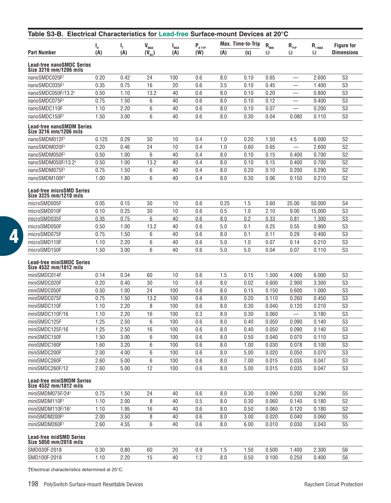| Table S3-B. Electrical Characteristics for Lead-free Surface-mount Devices at 20°C |       |      |                |           |                     |      |                   |                                |                             |                     |                   |
|------------------------------------------------------------------------------------|-------|------|----------------|-----------|---------------------|------|-------------------|--------------------------------|-----------------------------|---------------------|-------------------|
|                                                                                    | I,    | ı,   | $V_{MAX}$      | $I_{MAX}$ | $P_{D \text{ TVP}}$ |      | Max. Time-to-Trip | $\mathsf{R}_{_{\mathsf{MIN}}}$ | $\mathsf{R}_{\textsc{typ}}$ | $R_{1 \text{ MAX}}$ | <b>Figure for</b> |
| Part Number                                                                        | (A)   | (A)  | $(V_{\rm pc})$ | (A)       | (W)                 | (A)  | (s)               | Ω                              | Ω                           | Ω                   | <b>Dimensions</b> |
| Lead-free nanoSMDC Series<br>Size 3216 mm/1206 mils                                |       |      |                |           |                     |      |                   |                                |                             |                     |                   |
| nanoSMDC020F <sup>+</sup>                                                          | 0.20  | 0.42 | 24             | 100       | 0.6                 | 8.0  | 0.10              | 0.65                           | -                           | 2.600               | S <sub>3</sub>    |
| nanoSMDC035F†                                                                      | 0.35  | 0.75 | 16             | 20        | 0.6                 | 3.5  | 0.10              | 0.45                           |                             | 1.400               | S <sub>3</sub>    |
| nanoSMDC050F/13.2†                                                                 | 0.50  | 1.10 | 13.2           | 40        | 0.6                 | 8.0  | 0.10              | 0.20                           |                             | 0.800               | S <sub>3</sub>    |
| nanoSMDC075F†                                                                      | 0.75  | 1.50 | 6              | 40        | 0.6                 | 8.0  | 0.10              | 0.12                           |                             | 0.400               | S3                |
| nanoSMDC110F                                                                       | 1.10  | 2.20 | 6              | 40        | 0.6                 | 8.0  | 0.10              | 0.07                           |                             | 0.200               | S <sub>3</sub>    |
| nanoSMDC150F†                                                                      | 1.50  | 3.00 | 6              | 40        | 0.6                 | 8.0  | 0.30              | 0.04                           | 0.080                       | 0.110               | S <sub>3</sub>    |
| Lead-free nanoSMDM Series<br>Size 3216 mm/1206 mils                                |       |      |                |           |                     |      |                   |                                |                             |                     |                   |
| nanoSMDM012Ft                                                                      | 0.125 | 0.29 | 30             | 10        | 0.4                 | 1.0  | 0.20              | 1.50                           | 4.5                         | 6.000               | S <sub>2</sub>    |
| nanoSMDM020F†                                                                      | 0.20  | 0.46 | 24             | 10        | 0.4                 | 1.0  | 0.60              | 0.65                           |                             | 2.600               | S <sub>2</sub>    |
| nanoSMDM050F†                                                                      | 0.50  | 1.00 | 6              | 40        | 0.4                 | 8.0  | 0.10              | 0.15                           | 0.400                       | 0.700               | S <sub>2</sub>    |
| nanoSMDM050F/13.2†                                                                 | 0.50  | 1.00 | 13.2           | 40        | 0.4                 | 8.0  | 0.10              | 0.15                           | 0.400                       | 0.700               | S <sub>2</sub>    |
| nanoSMDM075F†                                                                      | 0.75  | 1.50 | 6              | 40        | 0.4                 | 8.0  | 0.20              | 0.10                           | 0.200                       | 0.290               | S <sub>2</sub>    |
| nanoSMDM100F†                                                                      | 1.00  | 1.80 | 6              | 40        | 0.4                 | 8.0  | 0.30              | 0.06                           | 0.150                       | 0.210               | S <sub>2</sub>    |
| Lead-free microSMD Series<br>Size 3225 mm/1210 mils                                |       |      |                |           |                     |      |                   |                                |                             |                     |                   |
| microSMD005F                                                                       | 0.05  | 0.15 | 30             | 10        | 0.6                 | 0.25 | 1.5               | 3.60                           | 25.00                       | 50.000              | S <sub>4</sub>    |
| microSMD010F                                                                       | 0.10  | 0.25 | 30             | 10        | 0.6                 | 0.5  | 1.0               | 2.10                           | 9.00                        | 15.000              | S <sub>3</sub>    |
| microSMD035F                                                                       | 0.35  | 0.75 | 6              | 40        | 0.6                 | 8.0  | 0.2               | 0.33                           | 0.81                        | 1.300               | S <sub>3</sub>    |
| microSMD050F                                                                       | 0.50  | 1.00 | 13.2           | 40        | 0.6                 | 5.0  | 0.1               | 0.25                           | 0.55                        | 0.900               | S <sub>3</sub>    |
| microSMD075F                                                                       | 0.75  | 1.50 | 6              | 40        | 0.6                 | 8.0  | 0.1               | 0.11                           | 0.29                        | 0.400               | S <sub>3</sub>    |
| microSMD110F                                                                       | 1.10  | 2.20 | 6              | 40        | 0.6                 | 5.0  | 1.0               | 0.07                           | 0.14                        | 0.210               | S <sub>3</sub>    |
| microSMD150F                                                                       | 1.50  | 3.00 | 6              | 40        | 0.6                 | 5.0  | 5.0               | 0.04                           | 0.07                        | 0.110               | S3                |
| Lead-free miniSMDC Series<br>Size 4532 mm/1812 mils                                |       |      |                |           |                     |      |                   |                                |                             |                     |                   |
| miniSMDC014F                                                                       | 0.14  | 0.34 | 60             | 10        | 0.6                 | 1.5  | 0.15              | 1.500                          | 4.000                       | 6.000               | S <sub>3</sub>    |
| miniSMDC020F                                                                       | 0.20  | 0.40 | 30             | 10        | 0.6                 | 8.0  | 0.02              | 0.600                          | 2.900                       | 3.300               | S <sub>3</sub>    |
| miniSMDC050F                                                                       | 0.50  | 1.00 | 24             | 100       | 0.6                 | 8.0  | 0.15              | 0.150                          | 0.600                       | 1.000               | S3                |
| miniSMDC075F                                                                       | 0.75  | 1.50 | 13.2           | 100       | 0.6                 | 8.0  | 0.20              | 0.110                          | 0.260                       | 0.450               | S <sub>3</sub>    |
| miniSMDC110F                                                                       | 1.10  | 2.20 | 8              | 100       | 0.6                 | 8.0  | 0.30              | 0.040                          | 0.120                       | 0.210               | S <sub>3</sub>    |
| miniSMDC110F/16                                                                    | 1.10  | 2.20 | 16             | 100       | 0.3                 | 8.0  | 0.30              | 0.060                          |                             | 0.180               | S3                |
| miniSMDC125F                                                                       | 1.25  | 2.50 | 6              | 100       | 0.6                 | 8.0  | 0.40              | 0.050                          | 0.090                       | 0.140               | S3                |
| miniSMDC125F/16                                                                    | 1.25  | 2.50 | 16             | 100       | 0.6                 | 8.0  | 0.40              | 0.050                          | 0.090                       | 0.140               | S <sub>3</sub>    |
| miniSMDC150F                                                                       | 1.50  | 3.00 | 6              | 100       | 0.6                 | 8.0  | 0.50              | 0.040                          | 0.070                       | 0.110               | S3                |
| miniSMDC160F                                                                       | 1.60  | 3.20 | 6              | 100       | 0.6                 | 8.0  | 1.00              | 0.030                          | 0.078                       | 0.100               | S <sub>3</sub>    |
| miniSMDC200F                                                                       | 2.00  | 4.00 | 6              | 100       | 0.6                 | 8.0  | 5.00              | 0.020                          | 0.050                       | 0.070               | S <sub>3</sub>    |
| miniSMDC260F                                                                       | 2.60  | 5.00 | 6              | 100       | 0.6                 | 8.0  | 7.00              | 0.015                          | 0.035                       | 0.047               | S3                |
| miniSMDC260F/12                                                                    | 2.60  | 5.00 | 12             | 100       | 0.6                 | 8.0  | 5.00              | 0.015                          | 0.035                       | 0.047               | S <sub>3</sub>    |
| <b>Lead-free miniSMDM Series</b><br>Size 4532 mm/1812 mils                         |       |      |                |           |                     |      |                   |                                |                             |                     |                   |
| miniSMDM075F/24t                                                                   | 0.75  | 1.50 | 24             | 40        | 0.6                 | 8.0  | 0.30              | 0.090                          | 0.200                       | 0.290               | S5                |
| miniSMDM110F†                                                                      | 1.10  | 2.00 | 8              | 40        | 0.5                 | 8.0  | 0.30              | 0.060                          | 0.140                       | 0.180               | S <sub>2</sub>    |
| miniSMDM110F/16†                                                                   | 1.10  | 1.95 | 16             | 40        | 0.6                 | 8.0  | 0.50              | 0.060                          | 0.120                       | 0.180               | S <sub>2</sub>    |
| miniSMDM200F <sup>+</sup>                                                          | 2.00  | 3.50 | 8              | 40        | 0.6                 | 8.0  | 3.00              | 0.020                          | 0.040                       | 0.060               | S <sub>5</sub>    |
| miniSMDM260F†                                                                      | 2.60  | 4.55 | 6              | 40        | 0.6                 | 8.0  | 6.00              | 0.010                          | 0.030                       | 0.043               | S <sub>5</sub>    |
| Lead-free midSMD Series<br>Size 5050 mm/2018 mils                                  |       |      |                |           |                     |      |                   |                                |                             |                     |                   |
| SMD030F-2018                                                                       | 0.30  | 0.80 | 60             | 20        | 0.9                 | 1.5  | 1.50              | 0.500                          | 1.400                       | 2.300               | S <sub>6</sub>    |
| SMD100F-2018                                                                       | 1.10  | 2.20 | 15             | 40        | 1.2                 | 8.0  | 0.50              | 0.100                          | 0.250                       | 0.400               | S <sub>6</sub>    |
|                                                                                    |       |      |                |           |                     |      |                   |                                |                             |                     |                   |

†Electrical characteristics determined at 25°C.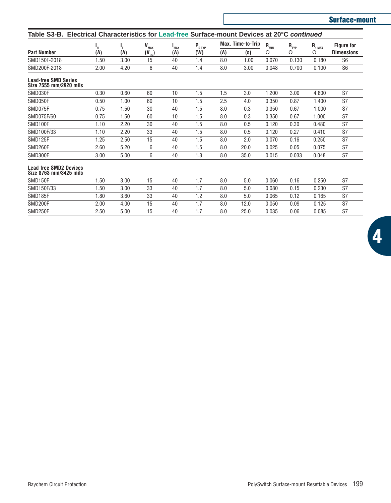| Table S3-B.                                             | Electrical Characteristics for Lead-free Surface-mount Devices at 20°C continued |      |                            |                         |                      |     |                   |                              |           |                    |                   |
|---------------------------------------------------------|----------------------------------------------------------------------------------|------|----------------------------|-------------------------|----------------------|-----|-------------------|------------------------------|-----------|--------------------|-------------------|
|                                                         | ц.                                                                               | г,   | $\mathbf{V}_{\text{max}}$  | <b>L</b> <sub>MAX</sub> | $P_{D \, \text{TP}}$ |     | Max. Time-to-Trip | $\mathbf{R}_{_{\text{MIN}}}$ | $R_{TYP}$ | $R_{1\text{ MAX}}$ | <b>Figure for</b> |
| <b>Part Number</b>                                      | (A)                                                                              | (A)  | $(\mathsf{V}_\mathsf{dc})$ | (A)                     | (W)                  | (A) | (s)               | Ω                            | Ω         | Ω                  | <b>Dimensions</b> |
| SMD150F-2018                                            | 1.50                                                                             | 3.00 | 15                         | 40                      | 1.4                  | 8.0 | 1.00              | 0.070                        | 0.130     | 0.180              | S <sub>6</sub>    |
| SMD200F-2018                                            | 2.00                                                                             | 4.20 | 6                          | 40                      | 1.4                  | 8.0 | 3.00              | 0.048                        | 0.700     | 0.100              | S <sub>6</sub>    |
| <b>Lead-free SMD Series</b><br>Size 7555 mm/2920 mils   |                                                                                  |      |                            |                         |                      |     |                   |                              |           |                    |                   |
| SMD030F                                                 | 0.30                                                                             | 0.60 | 60                         | 10                      | 1.5                  | 1.5 | 3.0               | 1.200                        | 3.00      | 4.800              | S7                |
| SMD050F                                                 | 0.50                                                                             | 1.00 | 60                         | 10                      | 1.5                  | 2.5 | 4.0               | 0.350                        | 0.87      | 1.400              | S7                |
| SMD075F                                                 | 0.75                                                                             | 1.50 | 30                         | 40                      | 1.5                  | 8.0 | 0.3               | 0.350                        | 0.67      | 1.000              | S7                |
| SMD075F/60                                              | 0.75                                                                             | 1.50 | 60                         | 10                      | 1.5                  | 8.0 | 0.3               | 0.350                        | 0.67      | 1.000              | S7                |
| SMD100F                                                 | 1.10                                                                             | 2.20 | 30                         | 40                      | 1.5                  | 8.0 | 0.5               | 0.120                        | 0.30      | 0.480              | S7                |
| SMD100F/33                                              | 1.10                                                                             | 2.20 | 33                         | 40                      | 1.5                  | 8.0 | 0.5               | 0.120                        | 0.27      | 0.410              | S7                |
| SMD125F                                                 | 1.25                                                                             | 2.50 | 15                         | 40                      | 1.5                  | 8.0 | 2.0               | 0.070                        | 0.16      | 0.250              | S7                |
| SMD260F                                                 | 2.60                                                                             | 5.20 | 6                          | 40                      | 1.5                  | 8.0 | 20.0              | 0.025                        | 0.05      | 0.075              | S7                |
| SMD300F                                                 | 3.00                                                                             | 5.00 | 6                          | 40                      | 1.3                  | 8.0 | 35.0              | 0.015                        | 0.033     | 0.048              | S7                |
| <b>Lead-free SMD2 Devices</b><br>Size 8763 mm/3425 mils |                                                                                  |      |                            |                         |                      |     |                   |                              |           |                    |                   |
| SMD150F                                                 | 1.50                                                                             | 3.00 | 15                         | 40                      | 1.7                  | 8.0 | 5.0               | 0.060                        | 0.16      | 0.250              | S7                |
| SMD150F/33                                              | 1.50                                                                             | 3.00 | 33                         | 40                      | 1.7                  | 8.0 | 5.0               | 0.080                        | 0.15      | 0.230              | S7                |
| SMD185F                                                 | 1.80                                                                             | 3.60 | 33                         | 40                      | 1.2                  | 8.0 | 5.0               | 0.065                        | 0.12      | 0.165              | S7                |
| SMD200F                                                 | 2.00                                                                             | 4.00 | 15                         | 40                      | 1.7                  | 8.0 | 12.0              | 0.050                        | 0.09      | 0.125              | S7                |

SMD250F 2.50 5.00 15 40 1.7 8.0 25.0 0.035 0.06 0.085 S7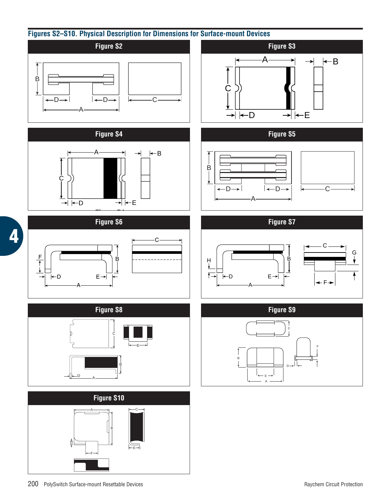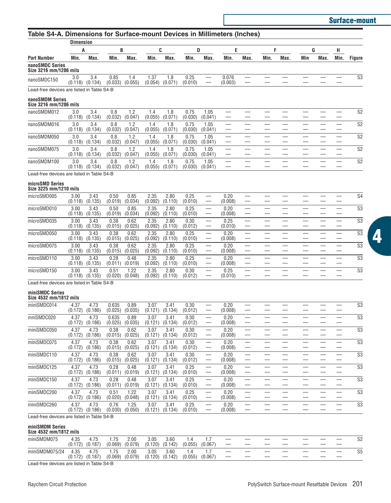**Surface-mount**

**4**

| Table S4-A. Dimensions for Surface-mount Devices in Millimeters (Inches) |                             |                 |                  |                             |                 |                             |                 |                                                      |                  |      |      |      |     |      |      |                |
|--------------------------------------------------------------------------|-----------------------------|-----------------|------------------|-----------------------------|-----------------|-----------------------------|-----------------|------------------------------------------------------|------------------|------|------|------|-----|------|------|----------------|
|                                                                          | <b>Dimension</b>            |                 |                  |                             |                 |                             |                 |                                                      |                  |      |      |      |     |      |      |                |
|                                                                          | A                           |                 | B                |                             |                 | C                           | D               |                                                      | Ε                |      | F    |      |     | G    | н    |                |
| <b>Part Number</b>                                                       | Min.                        | Max.            | Min.             | Max.                        | Min.            | Max.                        | Min.            | Max.                                                 | Min.             | Max. | Min. | Max. | Min | Max. | Min. | <b>Figure</b>  |
| nanoSMDC Series<br>Size 3216 mm/1206 mils                                |                             |                 |                  |                             |                 |                             |                 |                                                      |                  |      |      |      |     |      |      |                |
| nanoSMDC150                                                              | 3.0<br>(0.118)              | 3.4<br>(0.134)  | 0.85<br>(0.033)  | 1.4<br>(0.055)              | 1.37<br>(0.054) | 1.8<br>(0.071)              | 0.25<br>(0.010) |                                                      | 0.076<br>(0.003) |      |      |      |     |      |      | S <sub>3</sub> |
| Lead-free devices are listed in Table S4-B                               |                             |                 |                  |                             |                 |                             |                 |                                                      |                  |      |      |      |     |      |      |                |
| nanoSMDM Series<br>Size 3216 mm/1206 mils                                |                             |                 |                  |                             |                 |                             |                 |                                                      |                  |      |      |      |     |      |      |                |
| nanoSMDM012                                                              | 3.0<br>(0.118)              | 3.4<br>(0.134)  | 0.8<br>(0.032)   | 1.2<br>(0.047)              | 1.4<br>(0.055)  | 1.8<br>(0.071)              | 0.75<br>(0.030) | 1.05<br>(0.041)                                      |                  |      |      |      |     |      |      | S <sub>2</sub> |
| nanoSMDM016                                                              | 3.0<br>(0.118)              | 3.4<br>(0.134)  | 0.8<br>(0.032)   | 1.2<br>(0.047)              | 1.4<br>(0.055)  | 1.8<br>(0.071)              | 0.75<br>(0.030) | 1.05<br>(0.041)                                      |                  |      |      |      |     |      |      | S <sub>2</sub> |
| nanoSMDM050                                                              | 3.0<br>(0.118)              | 3.4<br>(0.134)  | 0.8<br>(0.032)   | 1.2<br>(0.047)              | 1.4<br>(0.055)  | 1.8<br>(0.071)              | 0.75<br>(0.030) | 1.05<br>(0.041)                                      |                  |      |      |      |     |      |      | S <sub>2</sub> |
| nanoSMDM075                                                              | 3.0<br>(0.118)              | 3.4             | 0.8              | 1.2                         | 1.4             | 1.8                         | 0.75            | 1.05                                                 |                  |      |      |      |     |      |      | S <sub>2</sub> |
| nanoSMDM100                                                              | 3.0                         | (0.134)<br>3.4  | (0.032)<br>0.8   | (0.047)<br>1.2              | (0.055)<br>1.4  | (0.071)<br>1.8              | (0.030)<br>0.75 | (0.041)<br>1.05                                      |                  |      |      |      |     |      |      | S <sub>2</sub> |
| Lead-free devices are listed in Table S4-B                               | (0.118)                     | (0.134)         | (0.032)          | (0.047                      | (0.055)         | (0.071)                     | (0.030)         | (0.041)                                              |                  |      |      |      |     |      |      |                |
| microSMD Series<br>Size 3225 mm/1210 mils                                |                             |                 |                  |                             |                 |                             |                 |                                                      |                  |      |      |      |     |      |      |                |
| microSMD005                                                              | 3.00<br>(0.118)             | 3.43<br>(0.135) | 0.50<br>(0.019)  | 0.85<br>(0.034)             | 2.35<br>(0.092) | 2.80<br>(0.110)             | 0.25<br>(0.010) |                                                      | 0.20<br>(0.008)  |      |      |      |     |      |      | S <sub>4</sub> |
| microSMD010                                                              | 3.00<br>(0.118)             | 3.43<br>(0.135) | 0.50<br>(0.019)  | 0.85<br>(0.034)             | 2.35<br>(0.092) | 2.80<br>(0.110)             | 0.25<br>(0.010) |                                                      | 0.20<br>(0.008)  |      |      |      |     |      |      | S <sub>3</sub> |
| microSMD035                                                              | 3.00<br>(0.118)             | 3.43<br>(0.135) | 0.38<br>(0.015)  | 0.62<br>(0.025)             | 2.35<br>(0.092) | 2.80<br>(0.110)             | 0.30<br>(0.012) |                                                      | 0.25<br>(0.010)  |      |      |      |     |      |      | S <sub>3</sub> |
| microSMD050                                                              | 3.00                        | 3.43            | 0.38             | 0.62                        | 2.35            | 2.80<br>(0.110)             | 0.25            |                                                      | 0.20             |      |      |      |     |      |      | S <sub>3</sub> |
| microSMD075                                                              | (0.118)<br>3.00             | (0.135)<br>3.43 | (0.015)<br>0.38  | (0.025)<br>0.62             | (0.092)<br>2.35 | 2.80                        | (0.010)<br>0.25 |                                                      | (0.008)<br>0.20  |      |      |      |     |      |      | S <sub>3</sub> |
| microSMD110                                                              | (0.118)<br>3.00             | (0.135)<br>3.43 | (0.015)<br>0.28  | (0.025)<br>0.48             | (0.092)<br>2.35 | (0.110)<br>2.80             | (0.010)<br>0.25 |                                                      | (0.008)<br>0.20  |      |      |      |     |      |      | S <sub>3</sub> |
| microSMD150                                                              | (0.118)<br>3.00             | (0.135)<br>3.43 | (0.011)<br>0.51  | (0.019)<br>1.22             | (0.092)<br>2.35 | (0.110)<br>2.80             | (0.010)<br>0.30 |                                                      | (0.008)<br>0.25  |      |      |      |     |      |      | S <sub>3</sub> |
| Lead-free devices are listed in Table S4-B                               | (0.118)                     | (0.135)         | (0.020)          | (0.048)                     | (0.092)         | (0.110)                     | (0.012)         |                                                      | (0.010)          |      |      |      |     |      |      |                |
| miniSMDC Series                                                          |                             |                 |                  |                             |                 |                             |                 |                                                      |                  |      |      |      |     |      |      |                |
| Size 4532 mm/1812 mils                                                   |                             |                 |                  |                             |                 |                             |                 |                                                      |                  |      |      |      |     |      |      |                |
| miniSMDC014                                                              | 4.37<br>(0.172)             | 4.73<br>(0.186) | 0.635<br>(0.025) | 0.89<br>(0.035)             | 3.07<br>(0.121) | 3.41<br>(0.134)             | 0.30<br>(0.012) | $\overline{\phantom{0}}$                             | 0.20<br>(0.008)  |      |      |      |     |      |      | S <sub>3</sub> |
| mniSMDC020                                                               | 4.37<br>(0.172)             | 4.73<br>(0.186) | 0.635<br>(0.025) | 0.89<br>(0.035)             | 3.07<br>(0.121) | 3.41<br>(0.134)             | 0.30<br>(0.012) |                                                      | 0.20<br>(0.008)  |      |      |      |     |      |      | S <sub>3</sub> |
| miniSMDC050                                                              | 4.37<br>(0.172)             | 4.73<br>(0.186) | 0.38<br>(0.015)  | 0.62<br>(0.025)             | 3.07<br>(0.121) | 3.41<br>(0.134)             | 0.30<br>(0.012) |                                                      | 0.20<br>(0.008)  |      |      |      |     |      |      | S <sub>3</sub> |
| miniSMDC075                                                              | 4.37<br>(0.172)             | 4.73<br>(0.186) | 0.38<br>(0.015)  | 0.62<br>(0.025)             | 3.07<br>(0.121) | 3.41<br>(0.134)             | 0.30<br>(0.012) | $\overline{\phantom{0}}$<br>$\overline{\phantom{0}}$ | 0.20<br>(0.008)  |      |      |      |     |      |      | S <sub>3</sub> |
| miniSMDC110                                                              | 4.37<br>(0.172)             | 4.73<br>(0.186) | 0.38<br>(0.015)  | 0.62<br>(0.025)             | 3.07<br>(0.121) | 3.41<br>(0.134)             | 0.30<br>(0.012) |                                                      | 0.20<br>(0.008)  |      |      |      |     |      |      | S <sub>3</sub> |
| miniSMDC125                                                              | 4.37                        | 4.73            | 0.28             | 0.48                        | 3.07            | 3.41                        | 0.25            |                                                      | 0.20             |      |      |      |     |      |      | S <sub>3</sub> |
| miniSMDC150                                                              | (0.172)<br>4.37             | (U.186)<br>4.73 | 0.28             | $(0.011)$ $(0.019)$<br>0.48 | (0.121)<br>3.07 | (0.134)<br>3.41             | (0.010)<br>0.25 |                                                      | (0.008)<br>0.20  |      |      |      |     |      |      | S <sub>3</sub> |
| miniSMDC200                                                              | (0.172)<br>4.37             | (0.186)<br>4.73 | (0.011)<br>0.51  | (0.019)<br>1.22             | (0.121)<br>3.07 | (0.134)<br>3.41             | (0.010)<br>0.25 | $\overline{\phantom{0}}$                             | (0.008)<br>0.20  |      |      |      |     |      |      | S <sub>3</sub> |
| miniSMDC260                                                              | (0.172)<br>4.37             | (0.186)<br>4.73 | (0.020)<br>0.76  | (0.048)<br>1.25             | (0.121)<br>3.07 | (0.134)<br>3.41             | (0.010)<br>0.25 | $\overline{\phantom{0}}$                             | (0.008)<br>0.20  |      |      |      |     |      |      | S <sub>3</sub> |
| Lead-free devices are listed in Table S4-B                               | $(0.172)$ $(0.186)$         |                 |                  | $(0.030)$ $(0.050)$         |                 | $(0.121)$ $(0.134)$         | (0.010)         |                                                      | (0.008)          |      |      |      |     |      |      |                |
| miniSMDM Series                                                          |                             |                 |                  |                             |                 |                             |                 |                                                      |                  |      |      |      |     |      |      |                |
| Size 4532 mm/1812 mils                                                   |                             |                 |                  |                             |                 |                             |                 |                                                      |                  |      |      |      |     |      |      |                |
| miniSMDM075                                                              | 4.35<br>$(0.172)$ $(0.187)$ | 4.75            | 1.75<br>(0.069)  | 2.00<br>(0.079)             | 3.05            | 3.60<br>$(0.120)$ $(0.142)$ | 1.4<br>(0.055)  | 1.7<br>(0.067)                                       |                  |      |      |      |     |      |      | S <sub>2</sub> |

miniSMDM075/24 4.35 4.75 1.75 2.00 3.05 3.60 1.4 1.7 — — — — — — — — — S5<br>(0.172) (0.187) (0.069) (0.079) (0.120) (0.142) (0.055) (0.067) — — — — — — — — — —

Lead-free devices are listed in Table S4-B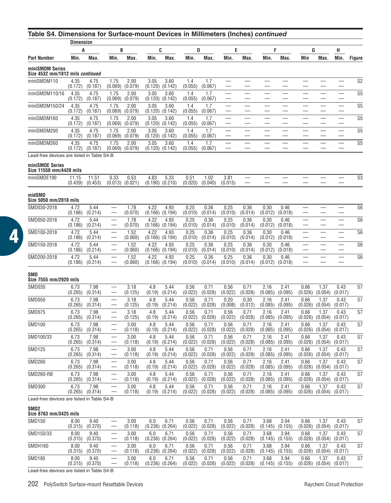| Table S4. Dimensions for Surface-mount Devices in Millimeters (Inches) continued |                  |                  |                          |                 |                 |                             |                 |                 |                 |                 |                 |                          |                          |                             |                          |                |
|----------------------------------------------------------------------------------|------------------|------------------|--------------------------|-----------------|-----------------|-----------------------------|-----------------|-----------------|-----------------|-----------------|-----------------|--------------------------|--------------------------|-----------------------------|--------------------------|----------------|
|                                                                                  | <b>Dimension</b> |                  |                          |                 |                 |                             |                 |                 |                 |                 |                 |                          |                          |                             |                          |                |
|                                                                                  | A                |                  | В                        |                 |                 | C                           | D               |                 | Ε               |                 | F               |                          | G                        |                             | н                        |                |
| Part Number                                                                      | Min.             | Max.             | Min.                     | Max.            | Min.            | Max.                        | Min.            | Max.            | Min.            | Max.            | Min.            | Max.                     | Min                      | Max.                        | Min.                     | <b>Figure</b>  |
| miniSMDM Series<br>Size 4532 mm/1812 mils continued                              |                  |                  |                          |                 |                 |                             |                 |                 |                 |                 |                 |                          |                          |                             |                          |                |
| miniSMDM110                                                                      | 4.35<br>(0.172)  | 4.75<br>(0.187)  | 1.75<br>(0.069)          | 2.00<br>(0.079) | 3.05<br>(0.120) | 3.60<br>(0.142)             | 1.4<br>(0.055)  | 1.7<br>(0.067)  |                 |                 |                 |                          |                          |                             |                          | S <sub>2</sub> |
| miniSMDM110/16                                                                   | 4.35<br>(0.172)  | 4.75<br>(0.187)  | 1.75<br>(0.069)          | 2.00<br>(0.079) | 3.05<br>(0.120) | 3.60<br>(0.142)             | 1.4<br>(0.055)  | 1.7<br>(0.067)  |                 |                 |                 |                          |                          |                             |                          | S <sub>5</sub> |
| miniSMDM150/24                                                                   | 4.35<br>(0.172)  | 4.75<br>(0.187)  | 1.75<br>(0.069)          | 2.00<br>(0.079) | 3.05<br>(0.120) | 3.60<br>(0.142)             | 1.4<br>(0.055)  | 1.7<br>(0.067)  |                 |                 |                 |                          |                          |                             | $\overline{\phantom{0}}$ | S <sub>5</sub> |
| miniSMDM160                                                                      | 4.35<br>(0.172)  | 4.75<br>(0.187)  | 1.75<br>(0.069)          | 2.00<br>(0.079) | 3.05<br>(0.120) | 3.60<br>(0.142)             | 1.4<br>(0.055)  | 1.7<br>(0.067)  |                 |                 |                 |                          |                          |                             |                          | S <sub>5</sub> |
| miniSMDM200                                                                      | 4.35<br>(0.172)  | 4.75<br>(0.187)  | 1.75<br>(0.069)          | 2.00<br>(0.079) | 3.05<br>(0.120) | 3.60<br>(0.142)             | 1.4<br>(0.055)  | 1.7<br>(0.067)  |                 |                 |                 | $\overline{\phantom{0}}$ | $\overline{\phantom{0}}$ |                             | $\overline{\phantom{0}}$ | S <sub>5</sub> |
| miniSMDM260                                                                      | 4.35<br>(0.172)  | 4.75<br>(0.187)  | 1.75<br>(0.069)          | 2.00<br>(0.079) | 3.05<br>(0.120) | 3.60<br>(0.142)             | 1.4<br>(0.055)  | 1.7<br>(0.067)  |                 |                 |                 |                          |                          |                             |                          | S <sub>5</sub> |
| Lead-free devices are listed in Table S4-B                                       |                  |                  |                          |                 |                 |                             |                 |                 |                 |                 |                 |                          |                          |                             |                          |                |
| miniSMDE Series<br>Size 11550 mm/4420 mils                                       |                  |                  |                          |                 |                 |                             |                 |                 |                 |                 |                 |                          |                          |                             |                          |                |
| miniSMDE190                                                                      | 11.15<br>(0.439) | 11.51<br>(0.453) | 0.33<br>(0.013)          | 0.53<br>(0.021) | 4.83<br>(0.190) | 5.33<br>(0.210)             | 0.51<br>(0.020) | 1.02<br>(0.040) | 3.81<br>(0.015) |                 |                 |                          |                          |                             |                          | S <sub>3</sub> |
| midSMD<br>Size 5050 mm/2018 mils                                                 |                  |                  |                          |                 |                 |                             |                 |                 |                 |                 |                 |                          |                          |                             |                          |                |
| SMD030-2018                                                                      | 4.72<br>(0.186)  | 5.44<br>(0.214)  |                          | 1.78<br>(0.070) | 4.22<br>(0.166) | 4.93<br>(0.194)             | 0.25<br>(0.010) | 0.36<br>(0.014) | 0.25<br>(0.010) | 0.36<br>(0.014) | 0.30<br>(0.012) | 0.46<br>(0.018)          |                          |                             |                          | S <sub>6</sub> |
| SMD050-2018                                                                      | 4.72<br>(0.186)  | 5.44<br>(0.214)  |                          | 1.78<br>(0.070) | 4.22<br>(0.166) | 4.93<br>(0.194)             | 0.25<br>(0.010) | 0.36<br>(0.014) | 0.25<br>(0.010) | 0.36<br>(0.014) | 0.30<br>(0.012) | 0.46<br>(0.018)          |                          |                             |                          | S <sub>6</sub> |
| SMD100-2018                                                                      | 4.72<br>(0.186)  | 5.44<br>(0.214)  |                          | 1.52<br>(0.060) | 4.22<br>(0.166) | 4.93<br>(0.194)             | 0.25<br>(0.010) | 0.36<br>(0.014) | 0.25<br>(0.010) | 0.36<br>(0.014) | 0.30<br>(0.012) | 0.46<br>(0.018)          |                          |                             |                          | S <sub>6</sub> |
| SMD150-2018                                                                      | 4.72             | 5.44             |                          | 1.52            | 4.22            | 4.93                        | 0.25            | 0.36            | 0.25            | 0.36            | 0.30            | 0.46                     |                          |                             | $\overline{\phantom{0}}$ | S <sub>6</sub> |
| SMD200-2018                                                                      | (0.186)<br>4.72  | (0.214)<br>5.44  |                          | (0.060)<br>1.52 | (0.166)<br>4.22 | (0.194)<br>4.93             | (0.010)<br>0.25 | (0.014)<br>0.36 | (0.010)<br>0.25 | (0.014)<br>0.36 | (0.012)<br>0.30 | (0.018)<br>0.46          |                          |                             |                          | S <sub>6</sub> |
|                                                                                  | (0.186)          | (0.214)          |                          | (0.060)         | (0.166)         | (0.194)                     | (0.010)         | (0.014)         | (0.010)         | (0.014)         | (0.012)         | (0.018)                  |                          |                             |                          |                |
| SMD<br>Size 7555 mm/2920 mils                                                    |                  |                  |                          |                 |                 |                             |                 |                 |                 |                 |                 |                          |                          |                             |                          |                |
| SMD030                                                                           | 6.73<br>(0.265)  | 7.98<br>(0.314)  |                          | 3.18<br>(0.125) | 4.8<br>(0.19)   | 5.44<br>(0.214)             | 0.56<br>(0.022) | 0.71<br>(0.028) | 0.56<br>(0.022) | 0.71<br>(0.028) | 2.16<br>(0.085) | 2.41<br>(0.095)          | 0.66<br>(0.026)          | 1.37<br>(0.054)             | 0.43<br>(0.017)          | S7             |
| <b>SMD050</b>                                                                    | 6.73<br>(0.265)  | 7.98<br>(0.314)  |                          | 3.18<br>(0.125) | 4.8<br>(0.19)   | 5.44<br>(0.214)             | 0.56<br>(0.022) | 0.71<br>(0.028) | 0.20<br>(0.008) | 0.30<br>(0.012) | 2.16<br>(0.085) | 2.41<br>(0.095)          | 0.66<br>(0.026)          | 1.37<br>(0.054)             | 0.43<br>(0.017)          | S7             |
| SMD075                                                                           | 6.73<br>(0.265)  | 7.98<br>(0.314)  |                          | 3.18<br>(0.125) | 4.8<br>(0.19)   | 5.44<br>(0.214)             | 0.56<br>(0.022) | 0.71<br>(0.028) | 0.56<br>(0.022) | 0.71<br>(0.028) | 2.16<br>(0.085) | 2.41<br>(0.095)          | 0.66<br>(0.026)          | 1.37<br>(0.054)             | 0.43<br>(0.017)          | S7             |
| SMD100                                                                           | 6.73<br>(0.265)  | 7.98<br>(0.314)  |                          | 3.00<br>(0.118) | 4.8<br>(0.19)   | 5.44<br>(0.214)             | 0.56<br>(0.022) | 0.71<br>(0.028) | 0.56<br>(0.022) | 0.71<br>(0.028) | 2.16<br>(0.085) | 2.41<br>(0.095)          | 0.66<br>(0.026)          | 1.37<br>(0.054)             | 0.43<br>(0.017)          | S7             |
| SMD100/33                                                                        | 6.73             | 7.98             |                          | 3.00            | 4.8             | 5.44                        | 0.56            | 0.71            | 0.56            | 0.71            | 2.16            | 2.41                     | 0.66                     | 1.37                        | 0.43                     | S7             |
| <b>SMD125</b>                                                                    | (0.265)<br>6.73  | (0.314)<br>7.98  |                          | (0.118)<br>3.00 | (0.19)<br>4.8   | (0.214)<br>5.44             | (0.022)<br>0.56 | (0.028)<br>0.71 | (0.022)<br>0.56 | (0.028)<br>0.71 | (0.085)<br>2.16 | (0.095)<br>2.41          | (0.026)<br>0.66          | (0.054)<br>1.37             | (0.017)<br>0.43          | S7             |
| SMD260                                                                           | (0.265)<br>6.73  | (0.314)<br>7.98  |                          | (0.118)<br>3.00 | (0.19)<br>4.8   | (0.214)<br>5.44             | (0.022)<br>0.56 | (0.028)<br>0.71 | (0.022)<br>0.56 | (0.028)<br>0.71 | (0.085)<br>2.16 | (0.095)<br>2.41          | (0.026)<br>0.66          | (0.054)<br>1.37             | (0.017)<br>0.43          | S7             |
| SMD260-RB                                                                        | (0.265)<br>6.73  | (0.314)<br>7.98  |                          | (0.118)<br>3.00 | (0.19)<br>4.8   | (0.214)<br>5.44             | (0.022)<br>0.56 | (0.028)<br>0.71 | (0.022)<br>0.56 | (0.028)<br>0.71 | (0.085)<br>2.16 | (0.095)<br>2.41          | (0.026)<br>0.66          | (0.054)<br>1.37             | (0.017)<br>0.43          | S7             |
|                                                                                  | (0.265)<br>6.73  | (0.314)          | $\overline{\phantom{0}}$ | (0.118)<br>3.00 | (0.19)          | (0.214)<br>5.44             | (0.022)<br>0.56 | (0.028)<br>0.71 | (0.022)         | (0.028)<br>0.71 | (0.085)<br>2.16 | (0.095)<br>2.41          | (0.026)                  | (0.054)<br>1.37             | (0.017)                  | S7             |
| SMD300                                                                           | (0.265)          | 7.98<br>(0.314)  |                          | (0.118)         | 4.8<br>(0.19)   | (0.214)                     | (0.022)         | (0.028)         | 0.56<br>(0.022) | (0.028)         | (0.085)         | (0.095)                  | 0.66<br>(0.026)          | (0.054)                     | 0.43<br>(0.017)          |                |
| Lead-free devices are listed in Table S4-B                                       |                  |                  |                          |                 |                 |                             |                 |                 |                 |                 |                 |                          |                          |                             |                          |                |
| SMD2<br>Size 8763 mm/3425 mils                                                   |                  |                  |                          |                 |                 |                             |                 |                 |                 |                 |                 |                          |                          |                             |                          |                |
| SMD150                                                                           | 8.00<br>(0.315)  | 9.40<br>(0.370)  |                          | 3.00<br>(0.118) | 6.0             | 6.71<br>$(0.236)$ $(0.264)$ | 0.56<br>(0.022) | 0.71<br>(0.028) | 0.56<br>(0.022) | 0.71<br>(0.028) | 3.68<br>(0.145) | 3.94<br>(0.155)          | 0.66<br>(0.026)          | 1.37<br>$(0.054)$ $(0.017)$ | 0.43                     | S7             |
| SMD150/33                                                                        | 8.00             | 940              |                          | 3.00            | 6 N             | 671                         | 0.56            | 0 71            | 0.56            | 0 71            | 3.68            | 394                      | 0 66                     | 1.37                        | 0.43                     | S7             |

|               | (U.315)<br>(0.3/0)                 | U.118)          | $(0.236)$ $(0.264)$                         | (0.022)         | (0.028)                  | (0.022)         | (0.028)                  | (U.145)         | (U.155)         | $(0.026)$ $(0.054)$ |                 | (0.017)         |    |
|---------------|------------------------------------|-----------------|---------------------------------------------|-----------------|--------------------------|-----------------|--------------------------|-----------------|-----------------|---------------------|-----------------|-----------------|----|
| SMD150/33     | 8.00<br>9.40<br>(0.370)<br>(0.315) | 3.00<br>(0.118) | 6.0<br>$(0.236)$ $(0.264)$                  | 0.56<br>(0.022) | $0.7^{\circ}$<br>(0.028) | 0.56<br>(0.022) | $0.7^{\circ}$<br>(0.028) | 3.68<br>(0.145) | 3.94<br>(0.155) | 0.66<br>(0.026)     | . 37<br>(0.054) | 0.43<br>(0.017) | S7 |
| SMDH160       | 8.00<br>9.40<br>(0.370)<br>(0.315) | 3.00<br>(0.118) | 6.7'<br>6.0<br>$(0.236)$ $(0.264)$          | 0.56<br>(0.022) | $0.7^{\circ}$<br>(0.028) | 0.56<br>(0.022) | 0.71<br>(0.028)          | 3.68<br>(0.145) | 3.94<br>(0.155) | 0.66<br>(0.026)     | .37<br>(0.054)  | 0.43<br>(0.017) | S7 |
| <b>SMD185</b> | 8.00<br>9.40<br>(0.370)<br>(0.315) | 3.00<br>(0.118) | 6.0<br>$6.7^{\circ}$<br>$(0.236)$ $(0.264)$ | 0.56<br>(0.022) | $0.7^{\circ}$<br>(0.028) | 0.56<br>(0.022) | $0.7*$<br>(0.028)        | 3.68<br>(0.145) | 3.94<br>(0.155) | 0.66<br>(0.026)     | 1.37<br>(0.054) | 0.43<br>(0.017) | S7 |

Lead-free devices are listed in Table S4-B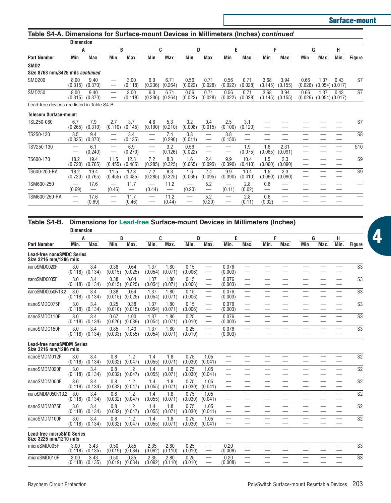|                                            | <b>Dimension</b> |                 |                                    |                 |                |                                         |                                    |                                 |                 |                 |                 |                 |                 |      |                             |                 |
|--------------------------------------------|------------------|-----------------|------------------------------------|-----------------|----------------|-----------------------------------------|------------------------------------|---------------------------------|-----------------|-----------------|-----------------|-----------------|-----------------|------|-----------------------------|-----------------|
|                                            | A                |                 | R                                  |                 |                | C                                       | D                                  |                                 | E               |                 | F               |                 | G               |      | н                           |                 |
| <b>Part Number</b>                         | Min.             | Max.            | Min.                               | Max.            | Min.           | Max.                                    | Min.                               | Max.                            | Min.            | Max.            | Min.            | Max.            | Min             | Max. | Min.                        | <b>Figure</b>   |
| SMD <sub>2</sub>                           |                  |                 |                                    |                 |                |                                         |                                    |                                 |                 |                 |                 |                 |                 |      |                             |                 |
| Size 8763 mm/3425 mils continued           |                  |                 |                                    |                 |                |                                         |                                    |                                 |                 |                 |                 |                 |                 |      |                             |                 |
| <b>SMD200</b>                              | 8.00<br>(0.315)  | 9.40<br>(0.370) | -                                  | 3.00<br>(0.118) | 6.0<br>(0.236) | 6.71<br>(0.264)                         | 0.56<br>(0.022)                    | 0.71<br>(0.028)                 | 0.56<br>(0.022) | 0.71<br>(0.028) | 3.68<br>(0.145) | 3.94<br>(0.155) | 0.66<br>(0.026) | 1.37 | 0.43<br>$(0.054)$ $(0.017)$ | S7              |
| <b>SMD250</b>                              | 8.00<br>(0.315)  | 9.40<br>(0.370) |                                    | 3.00<br>(0.118) | 6.0<br>(0.236) | 6.71<br>(0.264)                         | 0.56<br>(0.022)                    | 0.71<br>(0.028)                 | 0.56<br>(0.022) | 0.71<br>(0.028) | 3.68<br>(0.145) | 3.94<br>(0.155) | 0.66<br>(0.026) | 1.37 | 0.43<br>$(0.054)$ $(0.017)$ | S7              |
| Lead-free devices are listed in Table S4-B |                  |                 |                                    |                 |                |                                         |                                    |                                 |                 |                 |                 |                 |                 |      |                             |                 |
| <b>Telecom Surface-mount</b>               |                  |                 |                                    |                 |                |                                         |                                    |                                 |                 |                 |                 |                 |                 |      |                             |                 |
| TSL250-080                                 | 6.7<br>(0.265)   | 7.9<br>(0.310)  | 2.7<br>(0.110)                     | 3.7<br>(0.145)  | 4.8<br>(0.190) | 5.3<br>(0.210)                          | 0.2<br>(0.008)                     | 0.4<br>(0.015)                  | 2.5<br>(0.100)  | 3.1<br>(0.120)  |                 |                 |                 |      |                             | S7              |
| TS250-130                                  | 8.5<br>(0.335)   | 9.4<br>(0.370)  | -                                  | 3.4<br>(0.135)  | -              | 7.4<br>(0.290)                          | 0.3<br>(0.011)                     | $\hspace{0.1mm}-\hspace{0.1mm}$ | 3.8<br>(0.150)  | —               |                 |                 |                 |      |                             | S <sub>8</sub>  |
| TSV250-130                                 |                  | 6.1<br>(0.240)  | -                                  | 6.9<br>(0.270)  | —<br>-         | 3.2<br>(0.126)                          | 0.56<br>(0.022)                    | —                               |                 | 1.9<br>(0.075)  | 1.6<br>(0.065)  | 2.31<br>(0.091) | --<br>—         |      |                             | S <sub>10</sub> |
| TS600-170                                  | 18.2<br>(0.720)  | 19.4<br>(0.765) | 11.5<br>(0.455)                    | 12.3<br>(0.485) | 7.2<br>(0.285) | 8.3<br>(0.325)                          | 1.6<br>(0.065)                     | 2.4<br>(0.095)                  | 9.9<br>(0.390)  | 10.4<br>(0.410) | 1.5<br>(0.060)  | 2.3<br>(0.090)  | –               |      | _                           | S <sub>9</sub>  |
| TS600-200-RA                               | 18.2<br>(0.720)  | 19.4<br>(0.765) | 11.5<br>(0.455)                    | 12.3<br>(0.485) | 7.2<br>(0.285) | 8.3<br>(0.325)                          | 1.6<br>(0.065)                     | 2.4<br>(0.095)                  | 9.9<br>(0.390)  | 10.4<br>(0.410) | 1.5<br>(0.060)  | 2.3<br>(0.090)  |                 | _    |                             | S <sub>9</sub>  |
| TSM600-250                                 | (0.69)           | 17.6            | $\overline{\phantom{0}}$<br>(0.46) | 11.7            | (0.44)         | 11.2<br>$\hspace{0.1mm}-\hspace{0.1mm}$ | $\overline{\phantom{0}}$<br>(0.20) | 5.2<br>$\qquad \qquad$          | (0.11)          | 2.8<br>(0.02)   | 0.6             | -               |                 |      |                             |                 |
| TSM600-250-RA                              |                  | 17.6<br>(0.69)  | -                                  | 11.7<br>(0.46)  |                | 11.2<br>(0.44)                          | $\overline{\phantom{0}}$           | 5.2<br>(0.20)                   |                 | 2.8<br>(0.11)   | 0.6<br>(0.02)   |                 |                 |      |                             |                 |

| Table S4-B.                                                | Dimensions for Lead-free Surface-mount Devices in Millimeters (Inches) |                 |                 |                 |                 |                 |                                                      |                          |                          |           |                          |                          |           |           |                 |
|------------------------------------------------------------|------------------------------------------------------------------------|-----------------|-----------------|-----------------|-----------------|-----------------|------------------------------------------------------|--------------------------|--------------------------|-----------|--------------------------|--------------------------|-----------|-----------|-----------------|
|                                                            | <b>Dimension</b>                                                       |                 |                 |                 |                 |                 |                                                      |                          |                          |           |                          |                          |           |           |                 |
| <b>Part Number</b>                                         | A<br>Min.<br>Max.                                                      | Min.            | B<br>Max.       | Min.            | C<br>Max.       | D<br>Min.       | Max.                                                 | E<br>Min.                | Max.                     | F<br>Min. | Max.                     | Min                      | G<br>Max. | н<br>Min. | Figure          |
| <b>Lead-free nanoSMDC Series</b><br>Size 3216 mm/1206 mils |                                                                        |                 |                 |                 |                 |                 |                                                      |                          |                          |           |                          |                          |           |           |                 |
| nanoSMDC020F                                               | 3.4<br>3.0<br>(0.118)<br>(0.134)                                       | 0.38<br>(0.015) | 0.64<br>(0.025) | 1.37<br>(0.054) | 1.80<br>(0.071) | 0.15<br>(0.006) | $\overline{\phantom{0}}$                             | 0.076<br>(0.003)         |                          |           |                          | —                        |           |           | S <sub>3</sub>  |
| nanoSMDC035F                                               | 3.0<br>3.4<br>(0.118)<br>(0.134)                                       | 0.38<br>(0.015) | 0.64<br>(0.025) | 1.37<br>(0.054) | 1.80<br>(0.071) | 0.15<br>(0.006) | $\overbrace{\phantom{12333}}$                        | 0.076<br>(0.003)         |                          | -         | –                        | -                        |           | –         | S <sub>3</sub>  |
| nanoSMDC050F/13.2                                          | 3.0<br>3.4<br>(0.118)<br>(0.134)                                       | 0.38<br>(0.015) | 0.64<br>(0.025) | 1.37<br>(0.054) | 1.80<br>(0.071) | 0.15<br>(0.006) | $\overline{\phantom{0}}$                             | 0.076<br>(0.003)         | $\overline{\phantom{0}}$ |           | -                        | -                        |           | -         | S <sub>3</sub>  |
| nanoSMDC075F                                               | 3.0<br>3.4<br>(0.134)<br>(0.118)                                       | 0.25<br>(0.010) | 0.38<br>(0.015) | 1.37<br>(0.054) | 1.80<br>(0.071) | 0.15<br>(0.006) | $\overline{\phantom{0}}$<br>$\overline{\phantom{0}}$ | 0.076<br>(0.003)         | $\overline{\phantom{0}}$ |           | -                        | $\overline{\phantom{0}}$ |           |           | S <sub>3</sub>  |
| nanoSMDC110F                                               | 3.0<br>3.4<br>(0.118)<br>(0.134)                                       | 0.67<br>(0.026) | 1.00<br>(0.039) | 1.37<br>(0.054) | 1.80<br>(0.071) | 0.25<br>(0.010) |                                                      | 0.076<br>(0.003)         |                          |           | $\overline{\phantom{0}}$ |                          |           |           | S <sub>3</sub>  |
| nanoSMDC150F                                               | 3.0<br>3.4<br>(0.118)<br>(0.134)                                       | 0.85<br>(0.033) | 1.40<br>(0.055) | 1.37<br>(0.054) | 1.80<br>(0.071) | 0.25<br>(0.010) | $\hspace{0.05cm}$<br>$\overline{\phantom{0}}$        | 0.076<br>(0.003)         |                          |           | –                        | -                        |           |           | S <sub>3</sub>  |
| <b>Lead-free nanoSMDM Series</b><br>Size 3216 mm/1206 mils |                                                                        |                 |                 |                 |                 |                 |                                                      |                          |                          |           |                          |                          |           |           |                 |
| nanoSMDM012F                                               | 3.4<br>3.0<br>(0.134)<br>(0.118)                                       | 0.8<br>(0.032)  | 1.2<br>(0.047)  | 1.4<br>(0.055)  | 1.8<br>(0.071)  | 0.75<br>(0.030) | 1.05<br>(0.041)                                      | $\overline{\phantom{0}}$ | -                        |           |                          |                          |           | —         | S <sub>2</sub>  |
| nanoSMDM020F                                               | 3.0<br>3.4<br>(0.118)<br>(0.134)                                       | 0.8<br>(0.032)  | 1.2<br>(0.047)  | 1.4<br>(0.055)  | 1.8<br>(0.071)  | 0.75<br>(0.030) | 1.05<br>(0.041)                                      |                          |                          |           |                          |                          |           | -         | S <sub>2</sub>  |
| nanoSMDM050F                                               | 3.4<br>3.0<br>(0.118)<br>(0.134)                                       | 0.8<br>(0.032)  | 1.2<br>(0.047)  | 1.4<br>(0.055)  | 1.8<br>(0.071)  | 0.75<br>(0.030) | 1.05<br>(0.041)                                      | $\overline{\phantom{0}}$ | $\overline{\phantom{0}}$ | —         |                          | $\overline{\phantom{0}}$ |           |           | S <sub>2</sub>  |
| nanoSMDM050F/13.2                                          | 3.0<br>3.4<br>(0.134)<br>(0.118)                                       | 0.8<br>(0.032)  | 1.2<br>(0.047)  | 1.4<br>(0.055)  | 1.8<br>(0.071)  | 0.75<br>(0.030) | 1.05<br>(0.041)                                      |                          | -                        |           |                          |                          |           |           | S <sub>2</sub>  |
| nanoSMDM075F                                               | 3.0<br>3.4<br>(0.118)<br>(0.134)                                       | 0.8<br>(0.032)  | 1.2<br>(0.047)  | 1.4<br>(0.055)  | 1.8<br>(0.071)  | 0.75<br>(0.030) | 1.05<br>(0.041)                                      | $\overline{\phantom{0}}$ |                          |           |                          |                          |           |           | S <sub>2</sub>  |
| nanoSMDM100F                                               | 3.4<br>3.0<br>(0.134)<br>(0.118)                                       | 0.8<br>(0.032)  | 1.2<br>(0.047)  | 1.4<br>(0.055)  | 1.8<br>(0.071)  | 0.75<br>(0.030) | 1.05<br>(0.041)                                      | $\overline{\phantom{0}}$ |                          |           |                          |                          |           |           | S <sub>2</sub>  |
| <b>Lead-free microSMD Series</b><br>Size 3225 mm/1210 mils |                                                                        |                 |                 |                 |                 |                 |                                                      |                          |                          |           |                          |                          |           |           |                 |
| microSMD005F                                               | 3.43<br>3.00<br>(0.118)<br>(0.135)                                     | 0.50<br>(0.019) | 0.85<br>(0.034) | 2.35<br>(0.092) | 2.80<br>(0.110) | 0.25<br>(0.010) | -                                                    | 0.20<br>(0.008)          |                          |           |                          |                          |           |           | S3              |
| microSMD010F                                               | 3.00<br>3.43<br>(0.118)<br>(0.135)                                     | 0.50<br>(0.019) | 0.85<br>(0.034) | 2.35<br>(0.092) | 2.80<br>(0.110) | 0.25<br>(0.010) | $\overline{\phantom{0}}$                             | 0.20<br>(0.008)          | $\overline{\phantom{0}}$ |           |                          |                          |           |           | $\overline{s3}$ |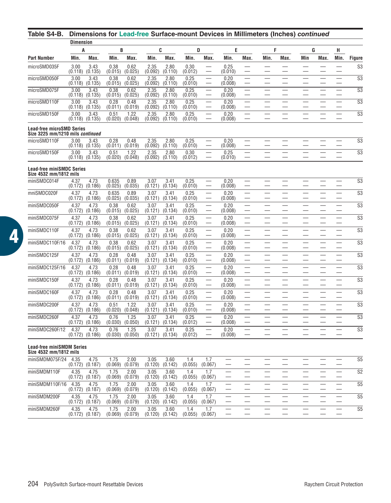### **Table S4-B. Dimensions for Lead-free Surface-mount Devices in Millimeters (Inches)** *continued*

|                                                                      | <b>Dimension</b> |                 |                  |                 |                 |                 |                 |                          |                 |      |      |                          |     |      |                          |                        |
|----------------------------------------------------------------------|------------------|-----------------|------------------|-----------------|-----------------|-----------------|-----------------|--------------------------|-----------------|------|------|--------------------------|-----|------|--------------------------|------------------------|
|                                                                      | A                |                 | B                |                 |                 | C               | D               |                          | Ε               |      | F    |                          | G   |      | н                        |                        |
| <b>Part Number</b>                                                   | Min.             | Max.            | Min.             | Max.            | Min.            | Max.            | Min.            | Max.                     | Min.            | Max. | Min. | Max.                     | Min | Max. | Min.                     | Figure                 |
| microSMD035F                                                         | 3.00<br>(0.118)  | 3.43<br>(0.135) | 0.38<br>(0.015)  | 0.62<br>(0.025) | 2.35<br>(0.092) | 2.80<br>(0.110) | 0.30<br>(0.012) |                          | 0.25<br>(0.010) |      |      |                          |     |      |                          | S <sub>3</sub>         |
| microSMD050F                                                         | 3.00<br>(0.118)  | 3.43<br>(0.135) | 0.38<br>(0.015)  | 0.62<br>(0.025) | 2.35<br>(0.092) | 2.80<br>(0.110) | 0.25<br>(0.010) | $\overline{\phantom{0}}$ | 0.20<br>(0.008) |      |      | $\overline{\phantom{0}}$ |     |      | $\overline{\phantom{a}}$ | $\overline{\text{S3}}$ |
| microSMD075F                                                         | 3.00<br>(0.118)  | 3.43<br>(0.135) | 0.38<br>(0.015)  | 0.62<br>(0.025) | 2.35<br>(0.092) | 2.80<br>(0.110) | 0.25<br>(0.010) | $\overline{\phantom{0}}$ | 0.20<br>(0.008) |      |      |                          |     |      |                          | $\overline{\text{S3}}$ |
| microSMD110F                                                         | 3.00<br>(0.118)  | 3.43<br>(0.135) | 0.28<br>(0.011)  | 0.48<br>(0.019) | 2.35<br>(0.092) | 2.80<br>(0.110) | 0.25<br>(0.010) |                          | 0.20<br>(0.008) |      |      |                          |     |      |                          | $\overline{\text{S3}}$ |
| microSMD150F                                                         | 3.00<br>(0.118)  | 3.43<br>(0.135) | 0.51<br>(0.020)  | 1.22<br>(0.048) | 2.35<br>(0.092) | 2.80<br>(0.110) | 0.25<br>(0.010) |                          | 0.20<br>(0.008) |      |      |                          |     |      |                          | S <sub>3</sub>         |
| <b>Lead-free microSMD Series</b><br>Size 3225 mm/1210 mils continued |                  |                 |                  |                 |                 |                 |                 |                          |                 |      |      |                          |     |      |                          |                        |
| microSMD110F                                                         | 3.00<br>(0.118)  | 3.43<br>(0.135) | 0.28<br>(0.011)  | 0.48<br>(0.019) | 2.35<br>(0.092) | 2.80<br>(0.110) | 0.25<br>(0.010) |                          | 0.20<br>(0.008) |      |      |                          |     |      |                          | S <sub>3</sub>         |
| microSMD150F                                                         | 3.00<br>(0.118)  | 3.43<br>(0.135) | 0.51<br>(0.020)  | 1.22<br>(0.048) | 2.35<br>(0.092) | 2.80<br>(0.110) | 0.30<br>(0.012) |                          | 0.25<br>(0.010) |      |      |                          |     |      |                          | S3                     |
| <b>Lead-free miniSMDC Series</b>                                     |                  |                 |                  |                 |                 |                 |                 |                          |                 |      |      |                          |     |      |                          |                        |
| Size 4532 mm/1812 mils<br>miniSMDC014F                               | 4.37<br>(0.172)  | 4.73<br>(0.186) | 0.635<br>(0.025) | 0.89<br>(0.035) | 3.07<br>(0.121) | 3.41<br>(0.134) | 0.25<br>(0.010) |                          | 0.20<br>(0.008) |      |      |                          |     |      |                          | $\overline{\text{S3}}$ |
| mniSMDC020F                                                          | 4.37<br>(0.172)  | 4.73<br>(0.186) | 0.635<br>(0.025) | 0.89<br>(0.035) | 3.07<br>(0.121) | 3.41<br>(0.134) | 0.25<br>(0.010) |                          | 0.20<br>(0.008) |      |      |                          |     |      |                          | S <sub>3</sub>         |
| miniSMDC050F                                                         | 4.37<br>(0.172)  | 4.73<br>(0.186) | 0.38<br>(0.015)  | 0.62<br>(0.025) | 3.07<br>(0.121) | 3.41<br>(0.134) | 0.25<br>(0.010) |                          | 0.20<br>(0.008) |      |      |                          |     |      | $\overline{\phantom{0}}$ | S <sub>3</sub>         |
| miniSMDC075F                                                         | 4.37<br>(0.172)  | 4.73<br>(0.186) | 0.38<br>(0.015)  | 0.62<br>(0.025) | 3.07<br>(0.121) | 3.41<br>(0.134) | 0.25<br>(0.010) |                          | 0.20<br>(0.008) |      |      |                          |     |      |                          | S <sub>3</sub>         |
| miniSMDC110F                                                         | 4.37<br>(0.172)  | 4.73<br>(0.186) | 0.38<br>(0.015)  | 0.62<br>(0.025) | 3.07<br>(0.121) | 3.41<br>(0.134) | 0.25<br>(0.010) |                          | 0.20<br>(0.008) |      |      |                          |     |      | $\overline{\phantom{0}}$ | S <sub>3</sub>         |
| miniSMDC110F/16                                                      | 4.37<br>(0.172)  | 4.73<br>(0.186) | 0.38<br>(0.015)  | 0.62<br>(0.025) | 3.07<br>(0.121) | 3.41<br>(0.134) | 0.25<br>(0.010) |                          | 0.20<br>(0.008) |      |      |                          |     |      |                          | S <sub>3</sub>         |
| miniSMDC125F                                                         | 4.37<br>(0.172)  | 4.73<br>(0.186) | 0.28<br>(0.011)  | 0.48<br>(0.019) | 3.07<br>(0.121) | 3.41<br>(0.134) | 0.25<br>(0.010) |                          | 0.20<br>(0.008) |      |      |                          |     |      |                          | S <sub>3</sub>         |
| miniSMDC125F/16                                                      | 4.37<br>(0.172)  | 4.73<br>(0.186) | 0.28<br>(0.011)  | 0.48<br>(0.019) | 3.07<br>(0.121) | 3.41<br>(0.134) | 0.25<br>(0.010) |                          | 0.20<br>(0.008) |      |      |                          |     |      |                          | S <sub>3</sub>         |
| miniSMDC150F                                                         | 4.37<br>(0.172)  | 4.73<br>(0.186) | 0.28<br>(0.011)  | 0.48<br>(0.019) | 3.07<br>(0.121) | 3.41<br>(0.134) | 0.25<br>(0.010) |                          | 0.20<br>(0.008) |      |      |                          |     |      |                          | S <sub>3</sub>         |
| miniSMDC160F                                                         | 4.37<br>(0.172)  | 4.73<br>(0.186) | 0.28<br>(0.011)  | 0.48<br>(0.019) | 3.07<br>(0.121) | 3.41<br>(0.134) | 0.25<br>(0.010) | $\overline{\phantom{0}}$ | 0.20<br>(0.008) |      |      | $\overline{\phantom{0}}$ |     |      | $\overline{\phantom{0}}$ | S <sub>3</sub>         |
| miniSMDC200F                                                         | 4.37<br>(0.172)  | 4.73<br>(0.186) | 0.51<br>(0.020)  | 1.22<br>(0.048) | 3.07<br>(0.121) | 3.41<br>(0.134) | 0.25<br>(0.010) |                          | 0.20<br>(0.008) |      |      |                          |     |      |                          | S <sub>3</sub>         |
| miniSMDC260F                                                         | 4.37<br>(0.172)  | 4.73<br>(0.186) | 0.76<br>(0.030)  | 1.25<br>(0.050) | 3.07<br>(0.121) | 3.41<br>(0.134) | 0.25<br>(0.012) |                          | 0.20<br>(0.008) |      |      |                          |     |      |                          | S <sub>3</sub>         |
| miniSMDC260F/12                                                      | 4.37<br>(0.172)  | 4.73<br>(0.186) | 0.76<br>(0.030)  | 1.25<br>(0.050) | 3.07<br>(0.121) | 3.41<br>(0.134) | 0.25<br>(0.012) |                          | 0.20<br>(0.008) |      |      |                          |     |      |                          | S <sub>3</sub>         |
| <b>Lead-free miniSMDM Series</b>                                     |                  |                 |                  |                 |                 |                 |                 |                          |                 |      |      |                          |     |      |                          |                        |
| Size 4532 mm/1812 mils                                               |                  |                 |                  |                 |                 |                 |                 |                          |                 |      |      |                          |     |      |                          |                        |
| miniSMDM075F/24                                                      | 4.35<br>(0.172)  | 4.75<br>(0.187) | 1.75<br>(0.069)  | 2.00<br>(0.079) | 3.05<br>(0.120) | 3.60<br>(0.142) | 1.4<br>(0.055)  | 1.7<br>(0.067)           |                 |      |      |                          |     |      |                          | S <sub>5</sub>         |
| miniSMDM110F                                                         | 4.35<br>(0.172)  | 4.75<br>(0.187) | 1.75<br>(0.069)  | 2.00<br>(0.079) | 3.05<br>(0.120) | 3.60<br>(0.142) | 1.4<br>(0.055)  | 1.7<br>(0.067)           |                 |      |      |                          |     |      |                          | S <sub>2</sub>         |
| miniSMDM110F/16                                                      | 4.35<br>(0.172)  | 4.75<br>(0.187) | 1.75<br>(0.069)  | 2.00<br>(0.079) | 3.05<br>(0.120) | 3.60<br>(0.142) | 1.4<br>(0.055)  | 1.7<br>(0.067)           |                 |      |      |                          |     |      | $\overline{\phantom{0}}$ | S <sub>5</sub>         |
| miniSMDM200F                                                         | 4.35<br>(0.172)  | 4.75<br>(0.187) | 1.75<br>(0.069)  | 2.00<br>(0.079) | 3.05<br>(0.120) | 3.60<br>(0.142) | 1.4<br>(0.055)  | 1.7<br>(0.067)           |                 |      |      |                          |     |      |                          | S <sub>5</sub>         |
| miniSMDM260F                                                         | 4.35<br>(0.172)  | 4.75<br>(0.187) | 1.75<br>(0.069)  | 2.00<br>(0.079) | 3.05<br>(0.120) | 3.60<br>(0.142) | 1.4<br>(0.055)  | 1.7<br>(0.067)           |                 |      |      |                          |     |      |                          | S <sub>5</sub>         |
|                                                                      |                  |                 |                  |                 |                 |                 |                 |                          |                 |      |      |                          |     |      |                          |                        |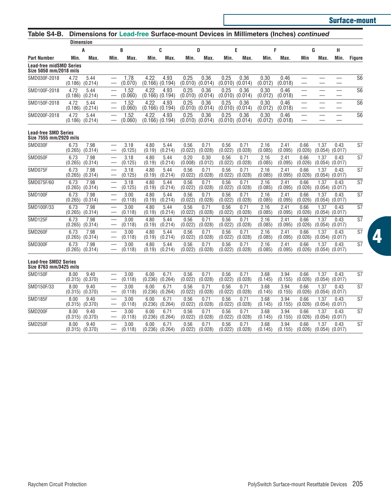**Surface-mount**

| Table S4-B.                                              |                  |                             |                          |                 |                 |                 |                 |                 |                 |                 | Dimensions for Lead-free Surface-mount Devices in Millimeters (Inches) continued |                 |                 |                             |                 |                          |
|----------------------------------------------------------|------------------|-----------------------------|--------------------------|-----------------|-----------------|-----------------|-----------------|-----------------|-----------------|-----------------|----------------------------------------------------------------------------------|-----------------|-----------------|-----------------------------|-----------------|--------------------------|
|                                                          | <b>Dimension</b> |                             |                          |                 |                 |                 |                 |                 |                 |                 |                                                                                  |                 |                 |                             |                 |                          |
| <b>Part Number</b>                                       | Min.             | A<br>Max.                   | Min.                     | B<br>Max.       | Min.            | C<br>Max.       | Min.            | D<br>Max.       | Min.            | E<br>Max.       | Min.                                                                             | F<br>Max.       | Min             | G<br>Max.                   | н<br>Min.       | Figure                   |
| <b>Lead-free midSMD Series</b><br>Size 5050 mm/2018 mils |                  |                             |                          |                 |                 |                 |                 |                 |                 |                 |                                                                                  |                 |                 |                             |                 |                          |
| SMD030F-2018                                             | 4.72<br>(0.186)  | 5.44<br>(0.214)             |                          | 1.78<br>(0.070) | 4.22<br>(0.166) | 4.93<br>(0.194) | 0.25<br>(0.010) | 0.36<br>(0.014) | 0.25<br>(0.010) | 0.36<br>(0.014) | 0.30<br>(0.012)                                                                  | 0.46<br>(0.018) |                 |                             |                 | S <sub>6</sub>           |
| SMD100F-2018                                             | 4.72<br>(0.186)  | 5.44<br>(0.214)             |                          | 1.52<br>(0.060) | 4.22<br>(0.166) | 4.93<br>(0.194) | 0.25<br>(0.010) | 0.36<br>(0.014) | 0.25<br>(0.010) | 0.36<br>(0.014) | 0.30<br>(0.012)                                                                  | 0.46<br>(0.018) |                 |                             |                 | $\overline{S6}$          |
| SMD150F-2018                                             | 4.72<br>(0.186)  | 5.44<br>(0.214)             |                          | 1.52<br>(0.060) | 4.22<br>(0.166) | 4.93<br>(0.194) | 0.25<br>(0.010) | 0.36<br>(0.014) | 0.25<br>(0.010) | 0.36<br>(0.014) | 0.30<br>(0.012)                                                                  | 0.46<br>(0.018) |                 |                             |                 | $\overline{S6}$          |
| SMD200F-2018                                             | 4.72<br>(0.186)  | 5.44<br>(0.214)             | $\overline{\phantom{m}}$ | 1.52<br>(0.060) | 4.22<br>(0.166) | 4.93<br>(0.194) | 0.25<br>(0.010) | 0.36<br>(0.014) | 0.25<br>(0.010) | 0.36<br>(0.014) | 0.30<br>(0.012)                                                                  | 0.46<br>(0.018) |                 |                             |                 | $\overline{S6}$          |
| <b>Lead-free SMD Series</b><br>Size 7555 mm/2920 mils    |                  |                             |                          |                 |                 |                 |                 |                 |                 |                 |                                                                                  |                 |                 |                             |                 |                          |
| SMD030F                                                  | 6.73<br>(0.265)  | 7.98<br>(0.314)             |                          | 3.18<br>(0.125) | 4.80<br>(0.19)  | 5.44<br>(0.214) | 0.56<br>(0.022) | 0.71<br>(0.028) | 0.56<br>(0.022) | 0.71<br>(0.028) | 2.16<br>(0.085)                                                                  | 2.41<br>(0.095) | 0.66<br>(0.026) | 1.37<br>(0.054)             | 0.43<br>(0.017) | S7                       |
| SMD050F                                                  | 6.73             | 7.98<br>$(0.265)$ $(0.314)$ |                          | 3.18<br>(0.125) | 4.80<br>(0.19)  | 5.44<br>(0.214) | 0.20<br>(0.008) | 0.30<br>(0.012) | 0.56<br>(0.022) | 0.71<br>(0.028) | 2.16<br>(0.085)                                                                  | 2.41<br>(0.095) | 0.66<br>(0.026) | 1.37<br>$(0.054)$ $(0.017)$ | 0.43            | $\overline{\mathsf{S}7}$ |
| SMD075F                                                  | 6.73<br>(0.265)  | 7.98<br>(0.314)             |                          | 3.18<br>(0.125) | 4.80<br>(0.19)  | 5.44<br>(0.214) | 0.56<br>(0.022) | 0.71<br>(0.028) | 0.56<br>(0.022) | 0.71<br>(0.028) | 2.16<br>(0.085)                                                                  | 2.41<br>(0.095) | 0.66<br>(0.026) | 1.37<br>(0.054)             | 0.43<br>(0.017) | S7                       |
| SMD075F/60                                               | 6.73<br>(0.265)  | 7.98<br>(0.314)             | $\qquad \qquad -$        | 3.18<br>(0.125) | 4.80<br>(0.19)  | 5.44<br>(0.214) | 0.56<br>(0.022) | 0.71<br>(0.028) | 0.56<br>(0.022) | 0.71<br>(0.028) | 2.16<br>(0.085)                                                                  | 2.41<br>(0.095) | 0.66<br>(0.026) | 1.37<br>(0.054)             | 0.43<br>(0.017) | S7                       |
| SMD100F                                                  | 6.73<br>(0.265)  | 7.98<br>(0.314)             |                          | 3.00<br>(0.118) | 4.80<br>(0.19)  | 5.44<br>(0.214) | 0.56<br>(0.022) | 0.71<br>(0.028) | 0.56<br>(0.022) | 0.71<br>(0.028) | 2.16<br>(0.085)                                                                  | 2.41<br>(0.095) | 0.66<br>(0.026) | 1.37<br>(0.054)             | 0.43<br>(0.017) | S7                       |
| SMD100F/33                                               | 6.73<br>(0.265)  | 7.98<br>(0.314)             |                          | 3.00<br>(0.118) | 4.80<br>(0.19)  | 5.44<br>(0.214) | 0.56<br>(0.022) | 0.71<br>(0.028) | 0.56<br>(0.022) | 0.71<br>(0.028) | 2.16<br>(0.085)                                                                  | 2.41<br>(0.095) | 0.66<br>(0.026) | 1.37<br>(0.054)             | 0.43<br>(0.017) | <b>S7</b>                |
| SMD125F                                                  | 6.73<br>(0.265)  | 7.98<br>(0.314)             |                          | 3.00<br>(0.118) | 4.80<br>(0.19)  | 5.44<br>(0.214) | 0.56<br>(0.022) | 0.71<br>(0.028) | 0.56<br>(0.022) | 0.71<br>(0.028) | 2.16<br>(0.085)                                                                  | 2.41<br>(0.095) | 0.66<br>(0.026) | 1.37<br>(0.054)             | 0.43<br>(0.017) | S7                       |
| SMD260F                                                  | 6.73<br>(0.265)  | 7.98<br>(0.314)             |                          | 3.00<br>(0.118) | 4.80<br>(0.19)  | 5.44<br>(0.214) | 0.56<br>(0.022) | 0.71<br>(0.028) | 0.56<br>(0.022) | 0.71<br>(0.028) | 2.16<br>(0.085)                                                                  | 2.41<br>(0.095) | 0.66<br>(0.026) | 1.37<br>(0.054)             | 0.43<br>(0.017) | S7                       |
| SMD300F                                                  | 6.73<br>(0.265)  | 7.98<br>(0.314)             | $\overline{\phantom{m}}$ | 3.00<br>(0.118) | 4.80<br>(0.19)  | 5.44<br>(0.214) | 0.56<br>(0.022) | 0.71<br>(0.028) | 0.56<br>(0.022) | 0.71<br>(0.028) | 2.16<br>(0.085)                                                                  | 2.41<br>(0.095) | 0.66<br>(0.026) | 1.37<br>(0.054)             | 0.43<br>(0.017) | S7                       |
| <b>Lead-free SMD2 Series</b><br>Size 8763 mm/3425 mils   |                  |                             |                          |                 |                 |                 |                 |                 |                 |                 |                                                                                  |                 |                 |                             |                 |                          |
| SMD150F                                                  | 8.00<br>(0.315)  | 9.40<br>(0.370)             |                          | 3.00<br>(0.118) | 6.00<br>(0.236) | 6.71<br>(0.264) | 0.56<br>(0.022) | 0.71<br>(0.028) | 0.56<br>(0.022) | 0.71<br>(0.028) | 3.68<br>(0.145)                                                                  | 3.94<br>(0.155) | 0.66<br>(0.026) | 1.37<br>(0.054)             | 0.43<br>(0.017) | S7                       |
| SMD150F/33                                               | 8.00<br>(0.315)  | 9.40<br>(0.370)             |                          | 3.00<br>(0.118) | 6.00<br>(0.236) | 6.71<br>(0.264) | 0.56<br>(0.022) | 0.71<br>(0.028) | 0.56<br>(0.022) | 0.71<br>(0.028) | 3.68<br>(0.145)                                                                  | 3.94<br>(0.155) | 0.66<br>(0.026) | 1.37<br>(0.054)             | 0.43<br>(0.017) | S7                       |
| SMD185F                                                  | 8.00<br>(0.315)  | 9.40<br>(0.370)             |                          | 3.00<br>(0.118) | 6.00<br>(0.236) | 6.71<br>(0.264) | 0.56<br>(0.022) | 0.71<br>(0.028) | 0.56<br>(0.022) | 0.71<br>(0.028) | 3.68<br>(0.145)                                                                  | 3.94<br>(0.155) | 0.66<br>(0.026) | 1.37<br>(0.054)             | 0.43<br>(0.017) | S7                       |
| SMD200F                                                  | 8.00<br>(0.315)  | 9.40<br>(0.370)             |                          | 3.00<br>(0.118) | 6.00<br>(0.236) | 6.71<br>(0.264) | 0.56<br>(0.022) | 0.71<br>(0.028) | 0.56<br>(0.022) | 0.71<br>(0.028) | 3.68<br>(0.145)                                                                  | 3.94<br>(0.155) | 0.66<br>(0.026) | 1.37<br>$(0.054)$ $(0.017)$ | 0.43            | S7                       |
| SMD250F                                                  | 8.00             | 9.40<br>$(0.315)$ $(0.370)$ |                          | 3.00<br>(0.118) | 6.00<br>(0.236) | 6.71<br>(0.264) | 0.56<br>(0.022) | 0.71<br>(0.028) | 0.56<br>(0.022) | 0.71<br>(0.028) | 3.68<br>(0.145)                                                                  | 3.94<br>(0.155) | 0.66<br>(0.026) | 1.37<br>$(0.054)$ $(0.017)$ | 0.43            | S7                       |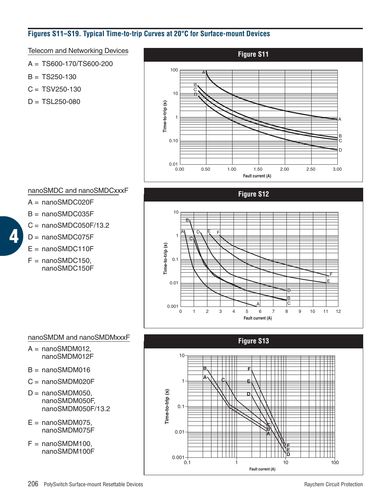# **Figures S11–S19. Typical Time-to-trip Curves at 20°C for Surface-mount Devices**

Telecom and Networking Devices

A = TS600-170/TS600-200

 $B = TS250-130$ 

- $C = TSV250-130$
- $D = TSL250-080$



# nanoSMDC and nanoSMDCxxxF

- A = nanoSMDC020F
- B = nanoSMDC035F
- $C =$  nanoSMDC050F/13.2
- $D =$  nanoSMDC075F

**4**

- $E =$  nanoSMDC110F
- $F =$  nanoSMDC150, nanoSMDC150F

0 1 10 1 0.1 0.01 0.001 **Time-to-trip (s)** 2 3 4 5 6 7 8 9 10 11 12 **Fault current (A)** C B A C B A F F D D E E **Figure S12**

# nanoSMDM and nanoSMDMxxxF

- $A =$  nanoSMDM012, nanoSMDM012F
- $B =$  nanoSMDM016
- $C =$  nanoSMDM020F
- $D =$  nanoSMDM050, nanoSMDM050F, nanoSMDM050F/13.2
- $E =$  nanoSMDM075. nanoSMDM075F
- $F =$  nanoSMDM100. nanoSMDM100F

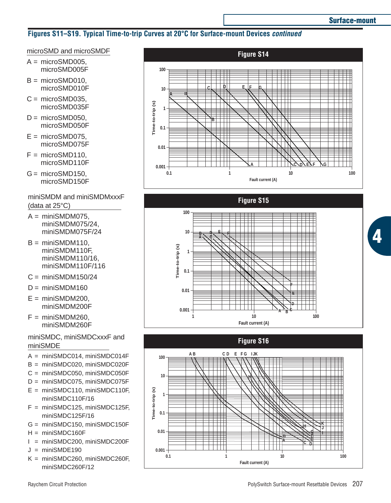# **Figures S11–S19. Typical Time-to-trip Curves at 20°C for Surface-mount Devices** *continued*

# microSMD and microSMDF

- $A = microSMD005$ . microSMD005F
- $B = microSMD010$ . microSMD010F
- $C = microSMD035$ . microSMD035F
- $D = microSMD050$ . microSMD050F
- $E = microSMD075$ . microSMD075F
- $F = microSMD110$ . microSMD110F
- $G = microSMD150$ . microSMD150F

miniSMDM and miniSMDMxxxF (data at 25°C)

- $A = minISMDM075$ . miniSMDM075/24, miniSMDM075F/24
- $B = minISMDM110$ . miniSMDM110F, miniSMDM110/16, miniSMDM110F/116
- $C = minISMDM150/24$
- $D = min$ iSMDM160
- $E = minSMDM200$ . miniSMDM200F
- $F = minSMDM260$ . miniSMDM260F

# miniSMDC, miniSMDCxxxF and miniSMDE

- A = miniSMDC014, miniSMDC014F
- B = miniSMDC020, miniSMDC020F
- C = miniSMDC050, miniSMDC050F
- D = miniSMDC075, miniSMDC075F
- E = miniSMDC110, miniSMDC110F, miniSMDC110F/16
- F = miniSMDC125, miniSMDC125F, miniSMDC125F/16
- $G = minSMDC150$ , miniSMDC150F
- $H = minISMDC160F$
- I = miniSMDC200, miniSMDC200F
- $J = min$ iSMDE190
- K = miniSMDC260, miniSMDC260F, miniSMDC260F/12





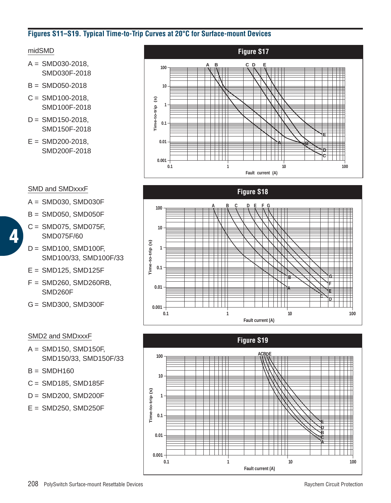# **Figures S11–S19. Typical Time-to-Trip Curves at 20°C for Surface-mount Devices**

# midSMD

- $A =$ SMD030-2018. SMD030F-2018
- $B =$ SMD050-2018
- $C =$  SMD100-2018, SMD100F-2018
- $D =$ SMD150-2018. SMD150F-2018
- $E =$ SMD200-2018, SMD200F-2018

# SMD and SMDxxxF

**4**

- A = SMD030, SMD030F
- $B =$  SMD050, SMD050F
- C = SMD075, SMD075F, SMD075F/60
- D = SMD100, SMD100F, SMD100/33, SMD100F/33
- $E =$  SMD125, SMD125F
- $F =$  SMD260, SMD260RB, SMD260F
- G = SMD300, SMD300F

#### SMD2 and SMDxxxF

- A = SMD150, SMD150F, SMD150/33, SMD150F/33
- $B =$ SMDH160
- $C =$  SMD185, SMD185F
- $D =$  SMD200, SMD200F
- $E =$  SMD250, SMD250F





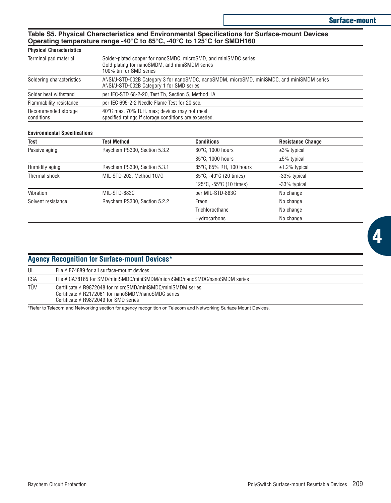#### **Table S5. Physical Characteristics and Environmental Specifications for Surface-mount Devices Operating temperature range -40°C to 85°C, -40°C to 125°C for SMDH160**

#### **Physical Characteristics**

| Terminal pad material             | Solder-plated copper for nanoSMDC, microSMD, and miniSMDC series<br>Gold plating for nanoSMDM, and miniSMDM series<br>100% tin for SMD series |
|-----------------------------------|-----------------------------------------------------------------------------------------------------------------------------------------------|
| Soldering characteristics         | ANSI/J-STD-002B Category 3 for nanoSMDC, nanoSMDM, microSMD, miniSMDC, and miniSMDM series<br>ANSI/J-STD-002B Category 1 for SMD series       |
| Solder heat withstand             | per IEC-STD 68-2-20, Test Tb, Section 5, Method 1A                                                                                            |
| Flammability resistance           | per IEC 695-2-2 Needle Flame Test for 20 sec.                                                                                                 |
| Recommended storage<br>conditions | 40°C max, 70% R.H. max; devices may not meet<br>specified ratings if storage conditions are exceeded.                                         |

#### **Environmental Specifications**

| Test               | Test Method                  | <b>Conditions</b>       | <b>Resistance Change</b> |
|--------------------|------------------------------|-------------------------|--------------------------|
| Passive aging      | Raychem PS300, Section 5.3.2 | 60°C, 1000 hours        | $±3\%$ typical           |
|                    |                              | 85°C, 1000 hours        | $±5\%$ typical           |
| Humidity aging     | Raychem PS300, Section 5.3.1 | 85°C, 85% RH, 100 hours | $±1.2\%$ typical         |
| Thermal shock      | MIL-STD-202, Method 107G     | 85°C, -40°C (20 times)  | -33% typical             |
|                    |                              | 125°C, -55°C (10 times) | -33% typical             |
| Vibration          | MIL-STD-883C                 | per MIL-STD-883C        | No change                |
| Solvent resistance | Raychem PS300, Section 5.2.2 | Freon                   | No change                |
|                    |                              | Trichloroethane         | No change                |
|                    |                              | Hydrocarbons            | No change                |

|     | <b>Agency Recognition for Surface-mount Devices*</b>                                                                                                           |
|-----|----------------------------------------------------------------------------------------------------------------------------------------------------------------|
| UL  | File # E74889 for all surface-mount devices                                                                                                                    |
| CSA | File # CA78165 for SMD/miniSMDC/miniSMDM/microSMD/nanoSMDC/nanoSMDM series                                                                                     |
| TÜV | Certificate # R9872048 for microSMD/miniSMDC/miniSMDM series<br>Certificate # R2172061 for nanoSMDM/nanoSMDC series<br>Certificate $#$ R9872049 for SMD series |
|     | ___                                                                                                                                                            |

\*Refer to Telecom and Networking section for agency recognition on Telecom and Networking Surface Mount Devices.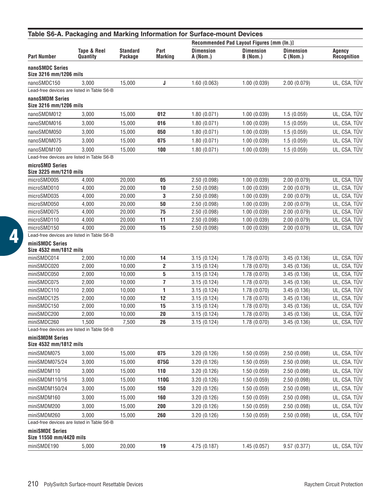| <b>Dimension</b><br>Tape & Reel<br><b>Standard</b><br>Part<br><b>Dimension</b><br><b>Dimension</b><br>Part Number<br>Quantity<br>Package<br><b>Marking</b><br>A (Nom.)<br>B (Nom.)<br>C (Nom.)<br>3,000<br>15,000<br>J<br>1.60(0.063)<br>1.00(0.039)<br>2.00(0.079)<br>3,000<br>15,000<br>012<br>1.00(0.039)<br>1.80(0.071)<br>1.5(0.059) | <b>Agency</b><br>Recognition<br>UL, CSA, TÜV<br>UL, CSA, TUV<br>UL, CSA, TÜV<br>UL, CSA, TÜV<br>UL, CSA, TÜV |
|-------------------------------------------------------------------------------------------------------------------------------------------------------------------------------------------------------------------------------------------------------------------------------------------------------------------------------------------|--------------------------------------------------------------------------------------------------------------|
| nanoSMDC Series<br>Size 3216 mm/1206 mils<br>nanoSMDC150<br>Lead-free devices are listed in Table S6-B<br>nanoSMDM Series<br>Size 3216 mm/1206 mils<br>nanoSMDM012                                                                                                                                                                        |                                                                                                              |
|                                                                                                                                                                                                                                                                                                                                           |                                                                                                              |
|                                                                                                                                                                                                                                                                                                                                           |                                                                                                              |
|                                                                                                                                                                                                                                                                                                                                           |                                                                                                              |
|                                                                                                                                                                                                                                                                                                                                           |                                                                                                              |
|                                                                                                                                                                                                                                                                                                                                           |                                                                                                              |
| nanoSMDM016<br>3,000<br>15.000<br>016<br>1.80(0.071)<br>1.00(0.039)<br>1.5(0.059)                                                                                                                                                                                                                                                         |                                                                                                              |
| nanoSMDM050<br>15,000<br>1.00(0.039)<br>3,000<br>050<br>1.80(0.071)<br>1.5(0.059)                                                                                                                                                                                                                                                         |                                                                                                              |
| nanoSMDM075<br>3,000<br>15,000<br>075<br>1.80(0.071)<br>1.00(0.039)<br>1.5(0.059)                                                                                                                                                                                                                                                         |                                                                                                              |
| nanoSMDM100<br>3,000<br>15,000<br>100<br>1.80(0.071)<br>1.00(0.039)<br>1.5(0.059)                                                                                                                                                                                                                                                         | UL, CSA, TÜV                                                                                                 |
| Lead-free devices are listed in Table S6-B                                                                                                                                                                                                                                                                                                |                                                                                                              |
| microSMD Series<br>Size 3225 mm/1210 mils                                                                                                                                                                                                                                                                                                 |                                                                                                              |
| microSMD005<br>4,000<br>20,000<br>05<br>2.50(0.098)<br>1.00(0.039)<br>2.00(0.079)                                                                                                                                                                                                                                                         | UL, CSA, TUV                                                                                                 |
| 1.00(0.039)<br>microSMD010<br>4,000<br>20,000<br>10<br>2.50(0.098)<br>2.00(0.079)                                                                                                                                                                                                                                                         | UL, CSA, TÜV                                                                                                 |
| 3<br>microSMD035<br>4,000<br>20,000<br>2.50(0.098)<br>1.00(0.039)<br>2.00(0.079)                                                                                                                                                                                                                                                          | UL, CSA, TÜV                                                                                                 |
| 1.00(0.039)<br>microSMD050<br>4,000<br>20,000<br>2.50(0.098)<br>2.00(0.079)<br>50                                                                                                                                                                                                                                                         | UL, CSA, TÜV                                                                                                 |
| microSMD075<br>4,000<br>20,000<br>75<br>2.50(0.098)<br>1.00(0.039)<br>2.00(0.079)                                                                                                                                                                                                                                                         | UL, CSA, TUV                                                                                                 |
| 11<br>microSMD110<br>4,000<br>20,000<br>2.50(0.098)<br>1.00(0.039)<br>2.00(0.079)                                                                                                                                                                                                                                                         | UL, CSA, TÜV                                                                                                 |
| 15<br>microSMD150<br>4,000<br>20.000<br>2.50(0.098)<br>1.00(0.039)<br>2.00(0.079)                                                                                                                                                                                                                                                         | UL, CSA, TUV                                                                                                 |
| Lead-free devices are listed in Table S6-B                                                                                                                                                                                                                                                                                                |                                                                                                              |
| miniSMDC Series<br>Size 4532 mm/1812 mils                                                                                                                                                                                                                                                                                                 |                                                                                                              |
| miniSMDC014<br>2,000<br>10,000<br>3.15(0.124)<br>1.78(0.070)<br>3.45(0.136)<br>14                                                                                                                                                                                                                                                         | UL, CSA, TÜV                                                                                                 |
| miniSMDC020<br>2,000<br>10,000<br>2<br>3.15(0.124)<br>1.78(0.070)<br>3.45(0.136)                                                                                                                                                                                                                                                          | UL, CSA, TÜV                                                                                                 |
| 5<br>miniSMDC050<br>2,000<br>10,000<br>3.15(0.124)<br>1.78(0.070)<br>3.45(0.136)                                                                                                                                                                                                                                                          | UL, CSA, TÜV                                                                                                 |
| 7<br>miniSMDC075<br>2,000<br>10,000<br>3.15(0.124)<br>1.78(0.070)<br>3.45(0.136)                                                                                                                                                                                                                                                          | UL, CSA, TÜV                                                                                                 |
| 2,000<br>10,000<br>1<br>3.15(0.124)<br>1.78(0.070)<br>miniSMDC110<br>3.45(0.136)                                                                                                                                                                                                                                                          | UL, CSA, TÜV                                                                                                 |
| miniSMDC125<br>12<br>2,000<br>10,000<br>3.15(0.124)<br>1.78(0.070)<br>3.45(0.136)                                                                                                                                                                                                                                                         | UL, CSA, TÜV                                                                                                 |
| 10,000<br>miniSMDC150<br>2,000<br>15<br>3.15(0.124)<br>1.78(0.070)<br>3.45(0.136)                                                                                                                                                                                                                                                         | UL, CSA, TUV                                                                                                 |
| miniSMDC200<br>2,000<br>10,000<br>20<br>3.15(0.124)<br>1.78(0.070)<br>3.45 (0.136)                                                                                                                                                                                                                                                        | UL, CSA, TÜV                                                                                                 |
| miniSMDC260<br>1,500<br>7,500<br>26<br>1.78(0.070)<br>3.45(0.136)<br>3.15(0.124)                                                                                                                                                                                                                                                          | UL, CSA, TÜV                                                                                                 |
| Lead-free devices are listed in Table S6-B                                                                                                                                                                                                                                                                                                |                                                                                                              |
| miniSMDM Series<br>Size 4532 mm/1812 mils                                                                                                                                                                                                                                                                                                 |                                                                                                              |
| miniSMDM075<br>15,000<br>075<br>1.50(0.059)<br>3,000<br>3.20(0.126)<br>2.50(0.098)                                                                                                                                                                                                                                                        | UL, CSA, TÜV                                                                                                 |
| 15,000<br>075G<br>3.20 (0.126)<br>1.50(0.059)<br>miniSMDM075/24<br>3,000<br>2.50(0.098)                                                                                                                                                                                                                                                   | UL, CSA, TÜV                                                                                                 |
| 15,000<br>110<br>miniSMDM110<br>3,000<br>3.20(0.126)<br>1.50(0.059)<br>2.50(0.098)                                                                                                                                                                                                                                                        | UL, CSA, TÜV                                                                                                 |
| 15,000<br>3.20(0.126)<br>1.50 (0.059)<br>2.50 (0.098)<br>miniSMDM110/16<br>3,000<br>110G                                                                                                                                                                                                                                                  | UL, CSA, TÜV                                                                                                 |
| miniSMDM150/24<br>3,000<br>15,000<br>150<br>3.20(0.126)<br>1.50(0.059)<br>2.50 (0.098)                                                                                                                                                                                                                                                    | UL, CSA, TÜV                                                                                                 |
| miniSMDM160<br>3,000<br>3.20(0.126)<br>1.50(0.059)<br>2.50(0.098)<br>15,000<br>160                                                                                                                                                                                                                                                        | UL, CSA, TÜV                                                                                                 |
| miniSMDM200<br>1.50(0.059)<br>3,000<br>15,000<br>200<br>3.20(0.126)<br>2.50(0.098)                                                                                                                                                                                                                                                        | UL, CSA, TÜV                                                                                                 |
|                                                                                                                                                                                                                                                                                                                                           |                                                                                                              |
| miniSMDM260<br>3,000<br>15,000<br>260<br>3.20(0.126)<br>1.50(0.059)<br>2.50(0.098)<br>Lead-free devices are listed in Table S6-B                                                                                                                                                                                                          | UL, CSA, TÜV                                                                                                 |
| miniSMDE Series                                                                                                                                                                                                                                                                                                                           |                                                                                                              |
| Size 11550 mm/4420 mils                                                                                                                                                                                                                                                                                                                   |                                                                                                              |
| miniSMDE190<br>20,000<br>4.75 (0.187)<br>1.45(0.057)<br>5,000<br>19<br>9.57(0.377)                                                                                                                                                                                                                                                        | UL, CSA, TÜV                                                                                                 |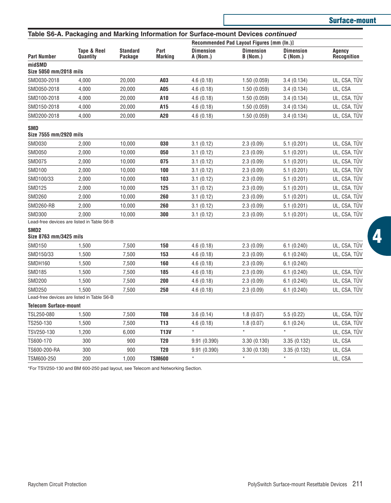|                                            |                                            |                            |                        | Table S6-A. Packaging and Marking Information for Surface-mount Devices continued |                                           |                             |                       |  |
|--------------------------------------------|--------------------------------------------|----------------------------|------------------------|-----------------------------------------------------------------------------------|-------------------------------------------|-----------------------------|-----------------------|--|
|                                            |                                            |                            |                        |                                                                                   | Recommended Pad Layout Figures [mm (In.)] |                             |                       |  |
| <b>Part Number</b>                         | Tape & Reel<br>Quantity                    | <b>Standard</b><br>Package | Part<br><b>Marking</b> | <b>Dimension</b><br>A (Nom.)                                                      | <b>Dimension</b><br>B (Nom.)              | <b>Dimension</b><br>C(Nom.) | Agency<br>Recognition |  |
| midSMD<br>Size 5050 mm/2018 mils           |                                            |                            |                        |                                                                                   |                                           |                             |                       |  |
| SMD030-2018                                | 4,000                                      | 20,000                     | A03                    | 4.6(0.18)                                                                         | 1.50(0.059)                               | 3.4(0.134)                  | UL, CSA, TÜV          |  |
| SMD050-2018                                | 4,000                                      | 20,000                     | A05                    | 4.6(0.18)                                                                         | 1.50(0.059)                               | 3.4(0.134)                  | UL, CSA               |  |
| SMD100-2018                                | 4,000                                      | 20,000                     | A10                    | 4.6(0.18)                                                                         | 1.50 (0.059)                              | 3.4(0.134)                  | UL, CSA, TÜV          |  |
| SMD150-2018                                | 4.000                                      | 20.000                     | A15                    | 4.6(0.18)                                                                         | 1.50(0.059)                               | 3.4(0.134)                  | UL, CSA, TÜV          |  |
| SMD200-2018                                | 4,000                                      | 20,000                     | A20                    | 4.6(0.18)                                                                         | 1.50(0.059)                               | 3.4(0.134)                  | UL, CSA, TÜV          |  |
| <b>SMD</b><br>Size 7555 mm/2920 mils       |                                            |                            |                        |                                                                                   |                                           |                             |                       |  |
| <b>SMD030</b>                              | 2,000                                      | 10,000                     | 030                    | 3.1(0.12)                                                                         | 2.3(0.09)                                 | 5.1(0.201)                  | UL, CSA, TÜV          |  |
| <b>SMD050</b>                              | 2,000                                      | 10,000                     | 050                    | 3.1(0.12)                                                                         | 2.3(0.09)                                 | 5.1(0.201)                  | UL, CSA, TÜV          |  |
| <b>SMD075</b>                              | 2.000                                      | 10,000                     | 075                    | 3.1(0.12)                                                                         | 2.3(0.09)                                 | 5.1(0.201)                  | UL, CSA, TÜV          |  |
| <b>SMD100</b>                              | 2.000                                      | 10,000                     | 100                    | 3.1(0.12)                                                                         | 2.3(0.09)                                 | 5.1(0.201)                  | UL, CSA, TÜV          |  |
| SMD100/33                                  | 2,000                                      | 10,000                     | 103                    | 3.1(0.12)                                                                         | 2.3(0.09)                                 | 5.1(0.201)                  | UL, CSA, TÜV          |  |
| <b>SMD125</b>                              | 2,000                                      | 10,000                     | 125                    | 3.1(0.12)                                                                         | 2.3(0.09)                                 | 5.1(0.201)                  | UL, CSA, TÜV          |  |
| <b>SMD260</b>                              | 2,000                                      | 10,000                     | 260                    | 3.1(0.12)                                                                         | 2.3(0.09)                                 | 5.1(0.201)                  | UL, CSA, TÜV          |  |
| SMD260-RB                                  | 2.000                                      | 10,000                     | 260                    | 3.1(0.12)                                                                         | 2.3(0.09)                                 | 5.1(0.201)                  | UL, CSA, TÜV          |  |
| <b>SMD300</b>                              | 2.000                                      | 10,000                     | 300                    | 3.1(0.12)                                                                         | 2.3(0.09)                                 | 5.1(0.201)                  | UL, CSA, TÜV          |  |
|                                            | Lead-free devices are listed in Table S6-B |                            |                        |                                                                                   |                                           |                             |                       |  |
| SMD <sub>2</sub><br>Size 8763 mm/3425 mils |                                            |                            |                        |                                                                                   |                                           |                             |                       |  |
| <b>SMD150</b>                              | 1,500                                      | 7,500                      | 150                    | 4.6(0.18)                                                                         | 2.3(0.09)                                 | 6.1(0.240)                  | UL, CSA, TÜV          |  |
| SMD150/33                                  | 1,500                                      | 7,500                      | 153                    | 4.6(0.18)                                                                         | 2.3(0.09)                                 | 6.1(0.240)                  | UL, CSA, TÜV          |  |
| SMDH160                                    | 1.500                                      | 7.500                      | 160                    | 4.6(0.18)                                                                         | 2.3(0.09)                                 | 6.1(0.240)                  |                       |  |
| <b>SMD185</b>                              | 1.500                                      | 7.500                      | 185                    | 4.6(0.18)                                                                         | 2.3(0.09)                                 | 6.1(0.240)                  | UL, CSA, TÜV          |  |
| <b>SMD200</b>                              | 1.500                                      | 7.500                      | 200                    | 4.6(0.18)                                                                         | 2.3(0.09)                                 | 6.1(0.240)                  | UL, CSA, TÜV          |  |
| <b>SMD250</b>                              | 1.500                                      | 7,500                      | 250                    | 4.6(0.18)                                                                         | 2.3(0.09)                                 | 6.1(0.240)                  | UL, CSA, TÜV          |  |
|                                            | Lead-free devices are listed in Table S6-B |                            |                        |                                                                                   |                                           |                             |                       |  |
| <b>Telecom Surface-mount</b>               |                                            |                            |                        |                                                                                   |                                           |                             |                       |  |
| TSL250-080                                 | 1,500                                      | 7,500                      | <b>T08</b>             | 3.6(0.14)                                                                         | 1.8(0.07)                                 | 5.5(0.22)                   | UL, CSA, TÜV          |  |
| TS250-130                                  | 1,500                                      | 7.500                      | T <sub>13</sub>        | 4.6(0.18)                                                                         | 1.8(0.07)<br>$^\star$                     | 6.1(0.24)<br>$^\star$       | UL, CSA, TÜV          |  |
| TSV250-130                                 | 1,200                                      | 6,000                      | <b>T13V</b>            | $\star$                                                                           |                                           |                             | UL, CSA, TÜV          |  |
| TS600-170                                  | 300                                        | 900                        | T20                    | 9.91(0.390)                                                                       | 3.30 (0.130)                              | 3.35(0.132)                 | UL, CSA               |  |
| TS600-200-RA                               | 300                                        | 900                        | T20                    | 9.91 (0.390)                                                                      | 3.30(0.130)                               | 3.35 (0.132)                | UL, CSA               |  |
| TSM600-250                                 | 200                                        | 1,000                      | <b>TSM600</b>          | $\star$                                                                           | $\star$                                   | $\star$                     | UL, CSA               |  |

\*For TSV250-130 and BM 600-250 pad layout, see Telecom and Networking Section.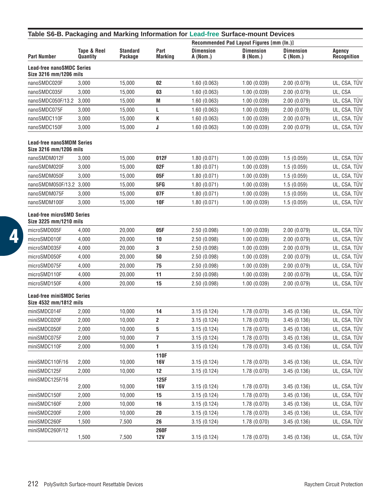| Table S6-B. Packaging and Marking Information for Lead-free Surface-mount Devices |                         |                            |                        |                              |                                           |                             |                       |  |
|-----------------------------------------------------------------------------------|-------------------------|----------------------------|------------------------|------------------------------|-------------------------------------------|-----------------------------|-----------------------|--|
|                                                                                   |                         |                            |                        |                              | Recommended Pad Layout Figures [mm (In.)] |                             |                       |  |
| <b>Part Number</b>                                                                | Tape & Reel<br>Quantity | <b>Standard</b><br>Package | Part<br><b>Marking</b> | <b>Dimension</b><br>A (Nom.) | <b>Dimension</b><br>B (Nom.)              | <b>Dimension</b><br>C(Nom.) | Agency<br>Recognition |  |
| <b>Lead-free nanoSMDC Series</b><br>Size 3216 mm/1206 mils                        |                         |                            |                        |                              |                                           |                             |                       |  |
| nanoSMDC020F                                                                      | 3,000                   | 15.000                     | 02                     | 1.60(0.063)                  | 1.00(0.039)                               | 2.00 (0.079)                | UL, CSA, TÜV          |  |
| nanoSMDC035F                                                                      | 3,000                   | 15,000                     | 03                     | 1.60(0.063)                  | 1.00(0.039)                               | 2.00(0.079)                 | UL, CSA               |  |
| nanoSMDC050F/13.2                                                                 | 3,000                   | 15,000                     | M                      | 1.60(0.063)                  | 1.00(0.039)                               | 2.00 (0.079)                | UL, CSA, TÜV          |  |
| nanoSMDC075F                                                                      | 3,000                   | 15,000                     | L                      | 1.60(0.063)                  | 1.00(0.039)                               | 2.00(0.079)                 | UL, CSA, TUV          |  |
| nanoSMDC110F                                                                      | 3,000                   | 15,000                     | K                      | 1.60(0.063)                  | 1.00(0.039)                               | 2.00(0.079)                 | UL, CSA, TÜV          |  |
| nanoSMDC150F                                                                      | 3,000                   | 15,000                     | J                      | 1.60(0.063)                  | 1.00(0.039)                               | 2.00(0.079)                 | UL, CSA, TÜV          |  |
| <b>Lead-free nanoSMDM Series</b><br>Size 3216 mm/1206 mils                        |                         |                            |                        |                              |                                           |                             |                       |  |
| nanoSMDM012F                                                                      | 3,000                   | 15,000                     | 012F                   | 1.80(0.071)                  | 1.00(0.039)                               | 1.5(0.059)                  | UL, CSA, TÜV          |  |
| nanoSMDM020F                                                                      | 3,000                   | 15,000                     | 02F                    | 1.80(0.071)                  | 1.00(0.039)                               | 1.5(0.059)                  | UL, CSA, TÜV          |  |
| nanoSMDM050F                                                                      | 3,000                   | 15,000                     | 05F                    | 1.80(0.071)                  | 1.00(0.039)                               | 1.5(0.059)                  | UL, CSA, TÜV          |  |
| nanoSMDM050F/13.2 3,000                                                           |                         | 15,000                     | 5FG                    | 1.80(0.071)                  | 1.00(0.039)                               | 1.5(0.059)                  | UL, CSA, TÜV          |  |
| nanoSMDM075F                                                                      | 3,000                   | 15,000                     | 07F                    | 1.80(0.071)                  | 1.00(0.039)                               | 1.5(0.059)                  | UL, CSA, TUV          |  |
| nanoSMDM100F                                                                      | 3,000                   | 15,000                     | 10F                    | 1.80(0.071)                  | 1.00(0.039)                               | 1.5(0.059)                  | UL, CSA, TÜV          |  |
| <b>Lead-free microSMD Series</b><br>Size 3225 mm/1210 mils                        |                         |                            |                        |                              |                                           |                             |                       |  |
| microSMD005F                                                                      | 4,000                   | 20,000                     | 05F                    | 2.50 (0.098)                 | 1.00(0.039)                               | 2.00(0.079)                 | UL, CSA, TÜV          |  |
| microSMD010F                                                                      | 4,000                   | 20,000                     | 10                     | 2.50 (0.098)                 | 1.00(0.039)                               | 2.00(0.079)                 | UL, CSA, TÜV          |  |
| microSMD035F                                                                      | 4,000                   | 20,000                     | 3                      | 2.50 (0.098)                 | 1.00(0.039)                               | 2.00(0.079)                 | UL, CSA, TÜV          |  |
| microSMD050F                                                                      | 4,000                   | 20,000                     | 50                     | 2.50 (0.098)                 | 1.00(0.039)                               | 2.00(0.079)                 | UL, CSA, TUV          |  |
| microSMD075F                                                                      | 4,000                   | 20,000                     | 75                     | 2.50(0.098)                  | 1.00(0.039)                               | 2.00 (0.079)                | UL, CSA, TUV          |  |
| microSMD110F                                                                      | 4,000                   | 20,000                     | 11                     | 2.50 (0.098)                 | 1.00(0.039)                               | 2.00(0.079)                 | UL, CSA, TÜV          |  |
| microSMD150F                                                                      | 4,000                   | 20,000                     | 15                     | 2.50 (0.098)                 | 1.00(0.039)                               | 2.00(0.079)                 | UL, CSA, TÜV          |  |
| <b>Lead-free miniSMDC Series</b><br>Size 4532 mm/1812 mils                        |                         |                            |                        |                              |                                           |                             |                       |  |
| miniSMDC014F                                                                      | 2,000                   | 10,000                     | 14                     | 3.15(0.124)                  | 1.78 (0.070)                              | 3.45(0.136)                 | UL, CSA, TÜV          |  |
| miniSMDC020F                                                                      | 2,000                   | 10,000                     | 2                      | 3.15 (0.124)                 | 1.78 (0.070)                              | 3.45(0.136)                 | UL, CSA, TÜV          |  |
| miniSMDC050F                                                                      | 2,000                   | 10,000                     | 5                      | 3.15 (0.124)                 | 1.78 (0.070)                              | 3.45(0.136)                 | UL, CSA, TÜV          |  |
| miniSMDC075F                                                                      | 2,000                   | 10,000                     | 7                      | 3.15(0.124)                  | 1.78 (0.070)                              | 3.45(0.136)                 | UL, CSA, TUV          |  |
| miniSMDC110F                                                                      | 2,000                   | 10,000                     | 1                      | 3.15 (0.124)                 | 1.78 (0.070)                              | 3.45(0.136)                 | UL, CSA, TÜV          |  |
| miniSMDC110F/16                                                                   | 2,000                   | 10,000                     | <b>110F</b><br>16V     | 3.15 (0.124)                 | 1.78 (0.070)                              | 3.45(0.136)                 | UL, CSA, TÜV          |  |
| miniSMDC125F                                                                      | 2,000                   | 10,000                     | 12                     | 3.15 (0.124)                 | 1.78 (0.070)                              | 3.45 (0.136)                | UL, CSA, TÜV          |  |
| miniSMDC125F/16                                                                   | 2,000                   | 10,000                     | 125F<br>16V            | 3.15(0.124)                  | 1.78(0.070)                               | 3.45(0.136)                 | UL, CSA, TÜV          |  |
| miniSMDC150F                                                                      | 2,000                   | 10,000                     | 15                     | 3.15(0.124)                  | 1.78 (0.070)                              | 3.45(0.136)                 | UL, CSA, TÜV          |  |
| miniSMDC160F                                                                      | 2,000                   | 10,000                     | 16                     | 3.15(0.124)                  | 1.78(0.070)                               | 3.45(0.136)                 | UL, CSA, TÜV          |  |
| miniSMDC200F                                                                      | 2,000                   | 10,000                     | 20                     | 3.15(0.124)                  | 1.78 (0.070)                              | 3.45(0.136)                 | UL, CSA, TÜV          |  |
| miniSMDC260F                                                                      | 1,500                   | 7,500                      | 26                     | 3.15(0.124)                  | 1.78(0.070)                               | 3.45(0.136)                 | UL, CSA, TUV          |  |
| miniSMDC260F/12                                                                   | 1,500                   | 7,500                      | 260F<br>12V            | 3.15(0.124)                  | 1.78 (0.070)                              | 3.45(0.136)                 | UL, CSA, TÜV          |  |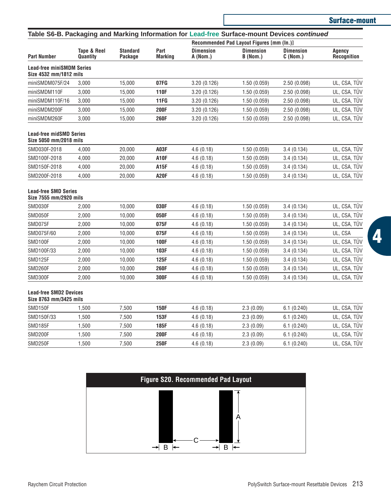| <b>Surface-mount</b> |
|----------------------|
|----------------------|

|                                                            |                         |                            |                        | Recommended Pad Layout Figures [mm (In.)] |                              |                              |                       |  |
|------------------------------------------------------------|-------------------------|----------------------------|------------------------|-------------------------------------------|------------------------------|------------------------------|-----------------------|--|
| <b>Part Number</b>                                         | Tape & Reel<br>Quantity | <b>Standard</b><br>Package | Part<br><b>Marking</b> | <b>Dimension</b><br>A (Nom.)              | <b>Dimension</b><br>B (Nom.) | <b>Dimension</b><br>C (Nom.) | Agency<br>Recognition |  |
| <b>Lead-free miniSMDM Series</b><br>Size 4532 mm/1812 mils |                         |                            |                        |                                           |                              |                              |                       |  |
| miniSMDM075F/24                                            | 3,000                   | 15,000                     | 07FG                   | 3.20(0.126)                               | 1.50(0.059)                  | 2.50 (0.098)                 | UL, CSA, TÜV          |  |
| miniSMDM110F                                               | 3.000                   | 15,000                     | <b>110F</b>            | 3.20(0.126)                               | 1.50(0.059)                  | 2.50 (0.098)                 | UL, CSA, TÜV          |  |
| miniSMDM110F/16                                            | 3,000                   | 15,000                     | 11FG                   | 3.20(0.126)                               | 1.50(0.059)                  | 2.50 (0.098)                 | UL, CSA, TÜV          |  |
| miniSMDM200F                                               | 3,000                   | 15,000                     | 200F                   | 3.20(0.126)                               | 1.50(0.059)                  | 2.50 (0.098)                 | UL, CSA, TÜV          |  |
| miniSMDM260F                                               | 3,000                   | 15,000                     | 260F                   | 3.20(0.126)                               | 1.50(0.059)                  | 2.50 (0.098)                 | UL, CSA, TÜV          |  |
| <b>Lead-free midSMD Series</b><br>Size 5050 mm/2018 mils   |                         |                            |                        |                                           |                              |                              |                       |  |
| SMD030F-2018                                               | 4.000                   | 20.000                     | A03F                   | 4.6(0.18)                                 | 1.50(0.059)                  | 3.4(0.134)                   | UL. CSA. TÜV          |  |
| SMD100F-2018                                               | 4,000                   | 20,000                     | <b>A10F</b>            | 4.6(0.18)                                 | 1.50(0.059)                  | 3.4(0.134)                   | UL, CSA, TÜV          |  |
| SMD150F-2018                                               | 4.000                   | 20,000                     | A15F                   | 4.6(0.18)                                 | 1.50(0.059)                  | 3.4(0.134)                   | UL, CSA, TÜV          |  |
| SMD200F-2018                                               | 4,000                   | 20,000                     | <b>A20F</b>            | 4.6(0.18)                                 | 1.50(0.059)                  | 3.4(0.134)                   | UL, CSA, TÜV          |  |
| <b>Lead-free SMD Series</b><br>Size 7555 mm/2920 mils      |                         |                            |                        |                                           |                              |                              |                       |  |
| SMD030F                                                    | 2.000                   | 10.000                     | 030F                   | 4.6(0.18)                                 | 1.50(0.059)                  | 3.4(0.134)                   | UL, CSA, TÜV          |  |
| SMD050F                                                    | 2,000                   | 10,000                     | 050F                   | 4.6(0.18)                                 | 1.50(0.059)                  | 3.4(0.134)                   | UL, CSA, TÜV          |  |
| SMD075F                                                    | 2.000                   | 10.000                     | 075F                   | 4.6(0.18)                                 | 1.50(0.059)                  | 3.4(0.134)                   | UL, CSA, TÜV          |  |
| SMD075F/60                                                 | 2,000                   | 10,000                     | 075F                   | 4.6(0.18)                                 | 1.50(0.059)                  | 3.4(0.134)                   | UL, CSA               |  |
| SMD100F                                                    | 2,000                   | 10.000                     | <b>100F</b>            | 4.6(0.18)                                 | 1.50(0.059)                  | 3.4(0.134)                   | UL, CSA, TÜV          |  |
| SMD100F/33                                                 | 2,000                   | 10,000                     | 103F                   | 4.6(0.18)                                 | 1.50(0.059)                  | 3.4(0.134)                   | UL, CSA, TÜV          |  |
| SMD125F                                                    | 2,000                   | 10,000                     | 125F                   | 4.6(0.18)                                 | 1.50(0.059)                  | 3.4(0.134)                   | UL, CSA, TÜV          |  |
| SMD260F                                                    | 2,000                   | 10,000                     | 260F                   | 4.6(0.18)                                 | 1.50(0.059)                  | 3.4(0.134)                   | UL, CSA, TÜV          |  |
| SMD300F                                                    | 2.000                   | 10,000                     | 300F                   | 4.6(0.18)                                 | 1.50(0.059)                  | 3.4(0.134)                   | UL, CSA, TÜV          |  |
| <b>Lead-free SMD2 Devices</b><br>Size 8763 mm/3425 mils    |                         |                            |                        |                                           |                              |                              |                       |  |
| SMD150F                                                    | 1,500                   | 7,500                      | <b>150F</b>            | 4.6(0.18)                                 | 2.3(0.09)                    | 6.1(0.240)                   | UL, CSA, TÜV          |  |
| SMD150F/33                                                 | 1,500                   | 7,500                      | 153F                   | 4.6(0.18)                                 | 2.3(0.09)                    | 6.1(0.240)                   | UL, CSA, TÜV          |  |
| SMD185F                                                    | 1,500                   | 7,500                      | 185F                   | 4.6(0.18)                                 | 2.3(0.09)                    | 6.1(0.240)                   | UL, CSA, TÜV          |  |
| SMD200F                                                    | 1,500                   | 7,500                      | <b>200F</b>            | 4.6(0.18)                                 | 2.3(0.09)                    | 6.1(0.240)                   | UL, CSA, TÜV          |  |
| SMD250F                                                    | 1.500                   | 7.500                      | 250F                   | 4.6(0.18)                                 | 2.3(0.09)                    | 6.1(0.240)                   | UL, CSA, TÜV          |  |

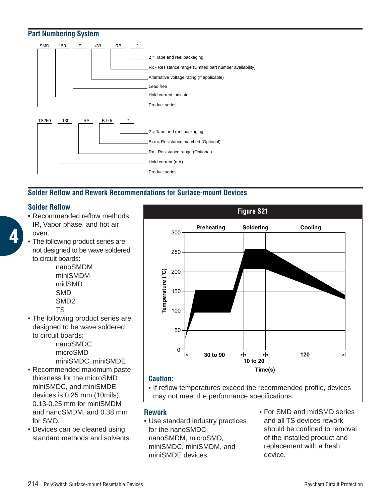

# **Solder Reflow and Rework Recommendations for Surface-mount Devices**

# **Solder Reflow**

**4**

- Recommended reflow methods: IR, Vapor phase, and hot air oven.
- The following product series are not designed to be wave soldered to circuit boards:

nanoSMDM miniSMDM midSMD SMD SMD2 TS

• The following product series are designed to be wave soldered to circuit boards:

nanoSMDC microSMD miniSMDC, miniSMDE

- Recommended maximum paste thickness for the microSMD, miniSMDC, and miniSMDE devices is 0.25 mm (10mils), 0.13-0.25 mm for miniSMDM and nanoSMDM, and 0.38 mm for SMD.
- Devices can be cleaned using standard methods and solvents.



# **Caution:**

• If reflow temperatures exceed the recommended profile, devices may not meet the performance specifications.

# **Rework**

- Use standard industry practices for the nanoSMDC, nanoSMDM, microSMD, miniSMDC, miniSMDM, and miniSMDE devices.
- For SMD and midSMD series and all TS devices rework should be confined to removal of the installed product and replacement with a fresh device.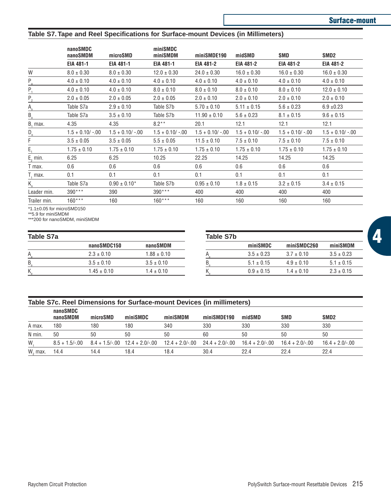#### **Table S7. Tape and Reel Specifications for Surface-mount Devices (in Millimeters)**

|                                | nanoSMDC<br>microSMD<br>nanoSMDM |                    | miniSMDC<br>miniSMDM | miniSMDE190      | midSMD             | SMD                 | SMD <sub>2</sub> |
|--------------------------------|----------------------------------|--------------------|----------------------|------------------|--------------------|---------------------|------------------|
|                                | EIA 481-1                        | EIA 481-1          | EIA 481-1            | EIA 481-2        | EIA 481-2          | EIA 481-2           | EIA 481-2        |
| W                              | $8.0 \pm 0.30$                   | $8.0 \pm 0.30$     | $12.0 \pm 0.30$      | $24.0 \pm 0.30$  | $16.0 \pm 0.30$    | $16.0 \pm 0.30$     | $16.0 \pm 0.30$  |
| $P_{o}$                        | $4.0 \pm 0.10$                   | $4.0 \pm 0.10$     | $4.0 \pm 0.10$       | $4.0 \pm 0.10$   | $4.0 \pm 0.10$     | $4.0 \pm 0.10$      | $4.0 \pm 0.10$   |
| $P_{1}$                        | $4.0 \pm 0.10$                   | $4.0 \pm 0.10$     | $8.0 \pm 0.10$       | $8.0 \pm 0.10$   | $8.0 \pm 0.10$     | $8.0 \pm 0.10$      | $12.0 \pm 0.10$  |
| $P_{2}$                        | $2.0 \pm 0.05$                   | $2.0 \pm 0.05$     | $2.0 \pm 0.05$       | $2.0 \pm 0.10$   | $2.0 \pm 0.10$     | $2.0 \pm 0.10$      | $2.0 \pm 0.10$   |
| $A_{\circ}$                    | Table S7a                        | $2.9 \pm 0.10$     | Table S7b            | $5.70 \pm 0.10$  | $5.11 \pm 0.15$    | $5.6 \pm 0.23$      | $6.9 \pm 0.23$   |
| $B_{o}$                        | Table S7a                        | $3.5 \pm 0.10$     | Table S7b            | $11.90 \pm 0.10$ | $5.6 \pm 0.23$     | $8.1 \pm 0.15$      | $9.6 \pm 0.15$   |
| $B_1$ max.                     | 4.35                             | 4.35               | $8.2**$              | 20.1             | 12.1               | 12.1                | 12.1             |
| $D_{o}$                        | $1.5 + 0.10/ -0.00$              | $1.5 + 0.10/-0.00$ | $1.5 + 0.10/-00$     | $1.5 + 0.10/-00$ | $1.5 + 0.10/-0.00$ | $1.5 + 0.10/ -0.00$ | $1.5 + 0.10/-00$ |
| F                              | $3.5 \pm 0.05$                   | $3.5 \pm 0.05$     | $5.5 \pm 0.05$       | $11.5 \pm 0.10$  | $7.5 \pm 0.10$     | $7.5 \pm 0.10$      | $7.5 \pm 0.10$   |
| Е,                             | $1.75 \pm 0.10$                  | $1.75 \pm 0.10$    | $1.75 \pm 0.10$      | $1.75 \pm 0.10$  | $1.75 \pm 0.10$    | $1.75 \pm 0.10$     | $1.75 \pm 0.10$  |
| $E2$ min.                      | 6.25                             | 6.25               | 10.25                | 22.25            | 14.25              | 14.25               | 14.25            |
| T max.                         | 0.6                              | 0.6                | 0.6                  | 0.6              | 0.6                | 0.6                 | 0.6              |
| T, max.                        | 0.1                              | 0.1                | 0.1                  | 0.1              | 0.1                | 0.1                 | 0.1              |
| $K_{\scriptscriptstyle\alpha}$ | Table S7a                        | $0.90 \pm 0.10^*$  | Table S7b            | $0.95 \pm 0.10$  | $1.8 \pm 0.15$     | $3.2 \pm 0.15$      | $3.4 \pm 0.15$   |
| Leader min.                    | $390***$                         | 390                | $390***$             | 400              | 400                | 400                 | 400              |
| Trailer min.                   | $160***$                         | 160                | $160***$             | 160              | 160                | 160                 | 160              |

 $*1.1\pm0.05$  for microSMD150

\*\*5.9 for miniSMDM

\*\*\*200 for nanoSMDM, miniSMDM

#### **Table S7a**

|    | nanoSMDC150     | nanoSMDM        |
|----|-----------------|-----------------|
| А  | $2.3 \pm 0.10$  | $1.88 \pm 0.10$ |
| B, | $3.5 \pm 0.10$  | $3.5 \pm 0.10$  |
| K  | $1.45 \pm 0.10$ | $1.4 \pm 0.10$  |

| miniSMDM       |
|----------------|
| $3.5 \pm 0.23$ |
| $5.1 \pm 0.15$ |
| $2.3 \pm 0.15$ |
|                |

#### **Table S7c. Reel Dimensions for Surface-mount Devices (in millimeters)**

|                     | nanoSMDC<br>nanoSMDM | microSMD | miniSMDC                                         | miniSMDM                                           | miniSMDE190 | midSMD | SMD              | SMD <sub>2</sub>  |
|---------------------|----------------------|----------|--------------------------------------------------|----------------------------------------------------|-------------|--------|------------------|-------------------|
| A max.              | 180                  | 180      | 180                                              | 340                                                | 330         | 330    | 330              | 330               |
| N min.              | 50                   | 50       | 50                                               | 50                                                 | 60          | 50     | 50               | 50                |
| W.                  |                      |          | $8.5 + 1.5/-00$ $8.4 + 1.5/-00$ $12.4 + 2.0/-00$ | $12.4 + 2.0/-00$ $24.4 + 2.0/-00$ $16.4 + 2.0/-00$ |             |        | $16.4 + 2.0/-00$ | $16.4 + 2.0 - 00$ |
| W <sub>2</sub> max. | 14.4                 | 14.4     | 18.4                                             | 18.4                                               | 30.4        | 224    | 22 4             | 22.4              |